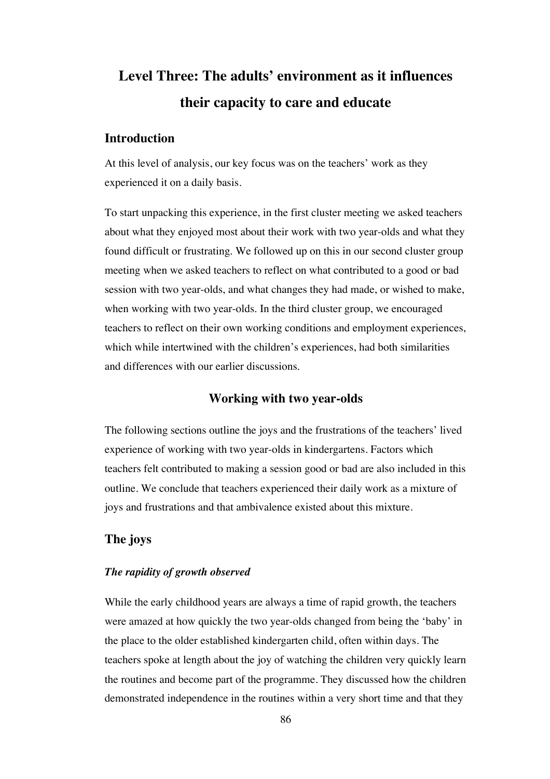# **Level Three: The adults' environment as it influences their capacity to care and educate**

## **Introduction**

At this level of analysis, our key focus was on the teachers' work as they experienced it on a daily basis.

To start unpacking this experience, in the first cluster meeting we asked teachers about what they enjoyed most about their work with two year-olds and what they found difficult or frustrating. We followed up on this in our second cluster group meeting when we asked teachers to reflect on what contributed to a good or bad session with two year-olds, and what changes they had made, or wished to make, when working with two year-olds. In the third cluster group, we encouraged teachers to reflect on their own working conditions and employment experiences, which while intertwined with the children's experiences, had both similarities and differences with our earlier discussions.

## **Working with two year-olds**

The following sections outline the joys and the frustrations of the teachers' lived experience of working with two year-olds in kindergartens. Factors which teachers felt contributed to making a session good or bad are also included in this outline. We conclude that teachers experienced their daily work as a mixture of joys and frustrations and that ambivalence existed about this mixture.

## **The joys**

### *The rapidity of growth observed*

While the early childhood years are always a time of rapid growth, the teachers were amazed at how quickly the two year-olds changed from being the 'baby' in the place to the older established kindergarten child, often within days. The teachers spoke at length about the joy of watching the children very quickly learn the routines and become part of the programme. They discussed how the children demonstrated independence in the routines within a very short time and that they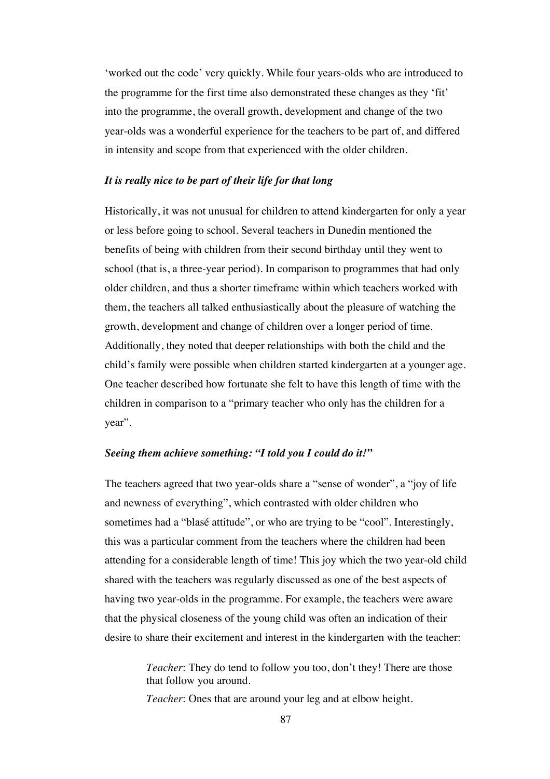'worked out the code' very quickly. While four years-olds who are introduced to the programme for the first time also demonstrated these changes as they 'fit' into the programme, the overall growth, development and change of the two year-olds was a wonderful experience for the teachers to be part of, and differed in intensity and scope from that experienced with the older children.

#### *It is really nice to be part of their life for that long*

Historically, it was not unusual for children to attend kindergarten for only a year or less before going to school. Several teachers in Dunedin mentioned the benefits of being with children from their second birthday until they went to school (that is, a three-year period). In comparison to programmes that had only older children, and thus a shorter timeframe within which teachers worked with them, the teachers all talked enthusiastically about the pleasure of watching the growth, development and change of children over a longer period of time. Additionally, they noted that deeper relationships with both the child and the child's family were possible when children started kindergarten at a younger age. One teacher described how fortunate she felt to have this length of time with the children in comparison to a "primary teacher who only has the children for a year".

#### *Seeing them achieve something: "I told you I could do it!"*

The teachers agreed that two year-olds share a "sense of wonder", a "joy of life and newness of everything", which contrasted with older children who sometimes had a "blasé attitude", or who are trying to be "cool". Interestingly, this was a particular comment from the teachers where the children had been attending for a considerable length of time! This joy which the two year-old child shared with the teachers was regularly discussed as one of the best aspects of having two year-olds in the programme. For example, the teachers were aware that the physical closeness of the young child was often an indication of their desire to share their excitement and interest in the kindergarten with the teacher:

> *Teacher*: They do tend to follow you too, don't they! There are those that follow you around.

*Teacher*: Ones that are around your leg and at elbow height.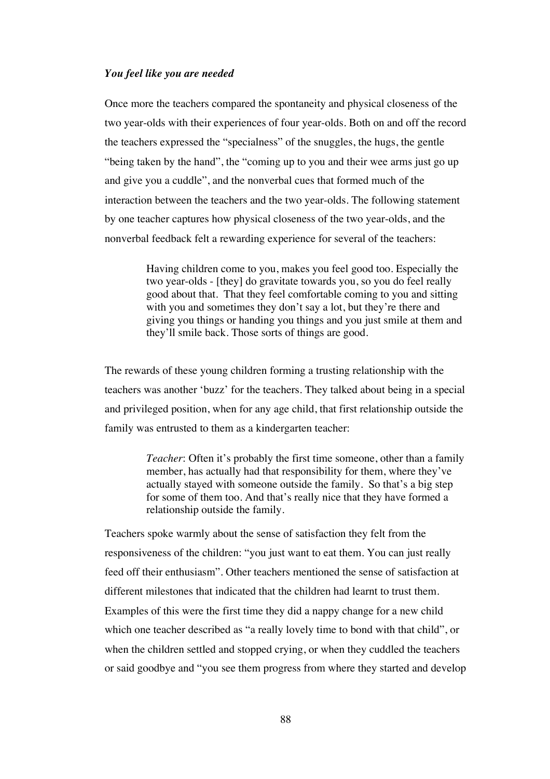#### *You feel like you are needed*

Once more the teachers compared the spontaneity and physical closeness of the two year-olds with their experiences of four year-olds. Both on and off the record the teachers expressed the "specialness" of the snuggles, the hugs, the gentle "being taken by the hand", the "coming up to you and their wee arms just go up and give you a cuddle", and the nonverbal cues that formed much of the interaction between the teachers and the two year-olds. The following statement by one teacher captures how physical closeness of the two year-olds, and the nonverbal feedback felt a rewarding experience for several of the teachers:

> Having children come to you, makes you feel good too. Especially the two year-olds - [they] do gravitate towards you, so you do feel really good about that. That they feel comfortable coming to you and sitting with you and sometimes they don't say a lot, but they're there and giving you things or handing you things and you just smile at them and they'll smile back. Those sorts of things are good.

The rewards of these young children forming a trusting relationship with the teachers was another 'buzz' for the teachers. They talked about being in a special and privileged position, when for any age child, that first relationship outside the family was entrusted to them as a kindergarten teacher:

> *Teacher*: Often it's probably the first time someone, other than a family member, has actually had that responsibility for them, where they've actually stayed with someone outside the family. So that's a big step for some of them too. And that's really nice that they have formed a relationship outside the family.

Teachers spoke warmly about the sense of satisfaction they felt from the responsiveness of the children: "you just want to eat them. You can just really feed off their enthusiasm". Other teachers mentioned the sense of satisfaction at different milestones that indicated that the children had learnt to trust them. Examples of this were the first time they did a nappy change for a new child which one teacher described as "a really lovely time to bond with that child", or when the children settled and stopped crying, or when they cuddled the teachers or said goodbye and "you see them progress from where they started and develop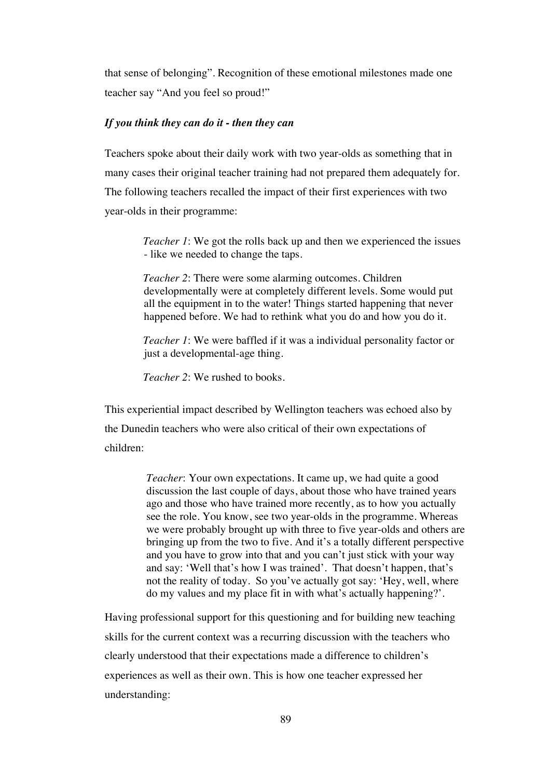that sense of belonging". Recognition of these emotional milestones made one teacher say "And you feel so proud!"

#### *If you think they can do it - then they can*

Teachers spoke about their daily work with two year-olds as something that in many cases their original teacher training had not prepared them adequately for. The following teachers recalled the impact of their first experiences with two year-olds in their programme:

> *Teacher 1*: We got the rolls back up and then we experienced the issues - like we needed to change the taps.

*Teacher 2*: There were some alarming outcomes. Children developmentally were at completely different levels. Some would put all the equipment in to the water! Things started happening that never happened before. We had to rethink what you do and how you do it.

*Teacher 1*: We were baffled if it was a individual personality factor or just a developmental-age thing.

*Teacher 2*: We rushed to books.

This experiential impact described by Wellington teachers was echoed also by the Dunedin teachers who were also critical of their own expectations of children:

> *Teacher*: Your own expectations. It came up, we had quite a good discussion the last couple of days, about those who have trained years ago and those who have trained more recently, as to how you actually see the role. You know, see two year-olds in the programme. Whereas we were probably brought up with three to five year-olds and others are bringing up from the two to five. And it's a totally different perspective and you have to grow into that and you can't just stick with your way and say: 'Well that's how I was trained'. That doesn't happen, that's not the reality of today. So you've actually got say: 'Hey, well, where do my values and my place fit in with what's actually happening?'.

Having professional support for this questioning and for building new teaching skills for the current context was a recurring discussion with the teachers who clearly understood that their expectations made a difference to children's experiences as well as their own. This is how one teacher expressed her understanding: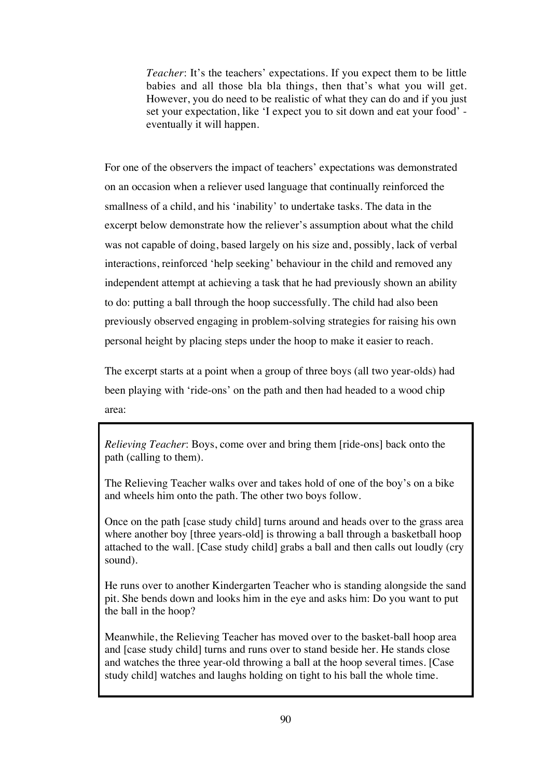*Teacher*: It's the teachers' expectations. If you expect them to be little babies and all those bla bla things, then that's what you will get. However, you do need to be realistic of what they can do and if you just set your expectation, like 'I expect you to sit down and eat your food' eventually it will happen.

For one of the observers the impact of teachers' expectations was demonstrated on an occasion when a reliever used language that continually reinforced the smallness of a child, and his 'inability' to undertake tasks. The data in the excerpt below demonstrate how the reliever's assumption about what the child was not capable of doing, based largely on his size and, possibly, lack of verbal interactions, reinforced 'help seeking' behaviour in the child and removed any independent attempt at achieving a task that he had previously shown an ability to do: putting a ball through the hoop successfully. The child had also been previously observed engaging in problem-solving strategies for raising his own personal height by placing steps under the hoop to make it easier to reach.

The excerpt starts at a point when a group of three boys (all two year-olds) had been playing with 'ride-ons' on the path and then had headed to a wood chip area:

*Relieving Teacher*: Boys, come over and bring them [ride-ons] back onto the path (calling to them).

The Relieving Teacher walks over and takes hold of one of the boy's on a bike and wheels him onto the path. The other two boys follow.

Once on the path [case study child] turns around and heads over to the grass area where another boy [three years-old] is throwing a ball through a basketball hoop attached to the wall. [Case study child] grabs a ball and then calls out loudly (cry sound).

He runs over to another Kindergarten Teacher who is standing alongside the sand pit. She bends down and looks him in the eye and asks him: Do you want to put the ball in the hoop?

Meanwhile, the Relieving Teacher has moved over to the basket-ball hoop area and [case study child] turns and runs over to stand beside her. He stands close and watches the three year-old throwing a ball at the hoop several times. [Case study child] watches and laughs holding on tight to his ball the whole time.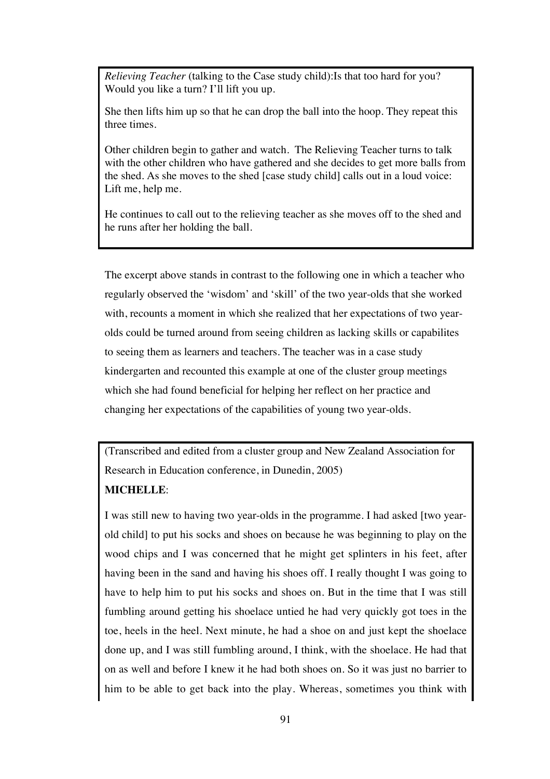*Relieving Teacher* (talking to the Case study child):Is that too hard for you? Would you like a turn? I'll lift you up.

She then lifts him up so that he can drop the ball into the hoop. They repeat this three times.

Other children begin to gather and watch. The Relieving Teacher turns to talk with the other children who have gathered and she decides to get more balls from the shed. As she moves to the shed [case study child] calls out in a loud voice: Lift me, help me.

He continues to call out to the relieving teacher as she moves off to the shed and he runs after her holding the ball.

The excerpt above stands in contrast to the following one in which a teacher who regularly observed the 'wisdom' and 'skill' of the two year-olds that she worked with, recounts a moment in which she realized that her expectations of two yearolds could be turned around from seeing children as lacking skills or capabilites to seeing them as learners and teachers. The teacher was in a case study kindergarten and recounted this example at one of the cluster group meetings which she had found beneficial for helping her reflect on her practice and changing her expectations of the capabilities of young two year-olds.

(Transcribed and edited from a cluster group and New Zealand Association for Research in Education conference, in Dunedin, 2005)

#### **MICHELLE**:

I was still new to having two year-olds in the programme. I had asked [two yearold child] to put his socks and shoes on because he was beginning to play on the wood chips and I was concerned that he might get splinters in his feet, after having been in the sand and having his shoes off. I really thought I was going to have to help him to put his socks and shoes on. But in the time that I was still fumbling around getting his shoelace untied he had very quickly got toes in the toe, heels in the heel. Next minute, he had a shoe on and just kept the shoelace done up, and I was still fumbling around, I think, with the shoelace. He had that on as well and before I knew it he had both shoes on. So it was just no barrier to him to be able to get back into the play. Whereas, sometimes you think with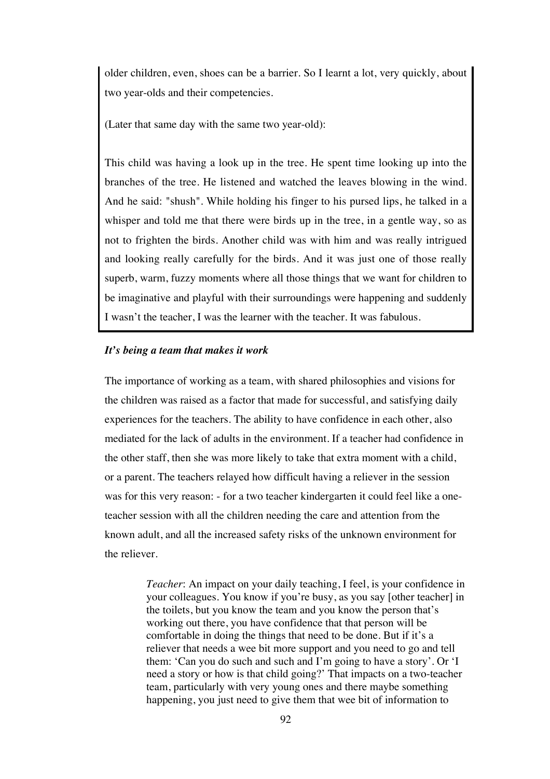older children, even, shoes can be a barrier. So I learnt a lot, very quickly, about two year-olds and their competencies.

(Later that same day with the same two year-old):

This child was having a look up in the tree. He spent time looking up into the branches of the tree. He listened and watched the leaves blowing in the wind. And he said: "shush". While holding his finger to his pursed lips, he talked in a whisper and told me that there were birds up in the tree, in a gentle way, so as not to frighten the birds. Another child was with him and was really intrigued and looking really carefully for the birds. And it was just one of those really superb, warm, fuzzy moments where all those things that we want for children to be imaginative and playful with their surroundings were happening and suddenly I wasn't the teacher, I was the learner with the teacher. It was fabulous.

#### *It's being a team that makes it work*

The importance of working as a team, with shared philosophies and visions for the children was raised as a factor that made for successful, and satisfying daily experiences for the teachers. The ability to have confidence in each other, also mediated for the lack of adults in the environment. If a teacher had confidence in the other staff, then she was more likely to take that extra moment with a child, or a parent. The teachers relayed how difficult having a reliever in the session was for this very reason: - for a two teacher kindergarten it could feel like a oneteacher session with all the children needing the care and attention from the known adult, and all the increased safety risks of the unknown environment for the reliever.

> *Teacher*: An impact on your daily teaching, I feel, is your confidence in your colleagues. You know if you're busy, as you say [other teacher] in the toilets, but you know the team and you know the person that's working out there, you have confidence that that person will be comfortable in doing the things that need to be done. But if it's a reliever that needs a wee bit more support and you need to go and tell them: 'Can you do such and such and I'm going to have a story'. Or 'I need a story or how is that child going?' That impacts on a two-teacher team, particularly with very young ones and there maybe something happening, you just need to give them that wee bit of information to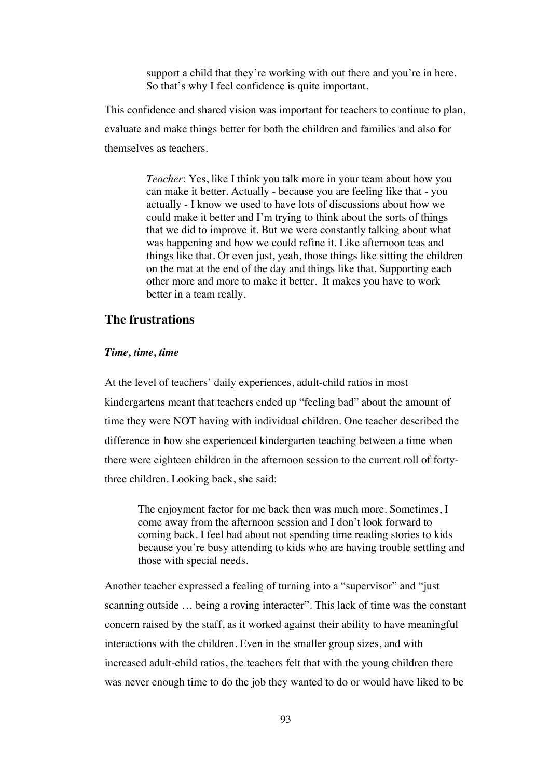support a child that they're working with out there and you're in here. So that's why I feel confidence is quite important.

This confidence and shared vision was important for teachers to continue to plan, evaluate and make things better for both the children and families and also for themselves as teachers.

> *Teacher*: Yes, like I think you talk more in your team about how you can make it better. Actually - because you are feeling like that - you actually - I know we used to have lots of discussions about how we could make it better and I'm trying to think about the sorts of things that we did to improve it. But we were constantly talking about what was happening and how we could refine it. Like afternoon teas and things like that. Or even just, yeah, those things like sitting the children on the mat at the end of the day and things like that. Supporting each other more and more to make it better. It makes you have to work better in a team really.

## **The frustrations**

#### *Time, time, time*

At the level of teachers' daily experiences, adult-child ratios in most kindergartens meant that teachers ended up "feeling bad" about the amount of time they were NOT having with individual children. One teacher described the difference in how she experienced kindergarten teaching between a time when there were eighteen children in the afternoon session to the current roll of fortythree children. Looking back, she said:

The enjoyment factor for me back then was much more. Sometimes, I come away from the afternoon session and I don't look forward to coming back. I feel bad about not spending time reading stories to kids because you're busy attending to kids who are having trouble settling and those with special needs.

Another teacher expressed a feeling of turning into a "supervisor" and "just scanning outside … being a roving interacter". This lack of time was the constant concern raised by the staff, as it worked against their ability to have meaningful interactions with the children. Even in the smaller group sizes, and with increased adult-child ratios, the teachers felt that with the young children there was never enough time to do the job they wanted to do or would have liked to be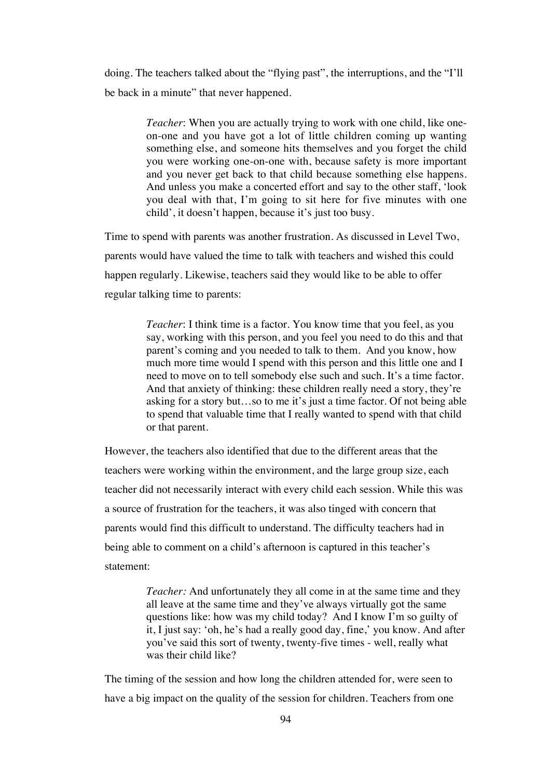doing. The teachers talked about the "flying past", the interruptions, and the "I'll be back in a minute" that never happened.

> *Teacher*: When you are actually trying to work with one child, like oneon-one and you have got a lot of little children coming up wanting something else, and someone hits themselves and you forget the child you were working one-on-one with, because safety is more important and you never get back to that child because something else happens. And unless you make a concerted effort and say to the other staff, 'look you deal with that, I'm going to sit here for five minutes with one child', it doesn't happen, because it's just too busy.

Time to spend with parents was another frustration. As discussed in Level Two, parents would have valued the time to talk with teachers and wished this could happen regularly. Likewise, teachers said they would like to be able to offer regular talking time to parents:

> *Teacher*: I think time is a factor. You know time that you feel, as you say, working with this person, and you feel you need to do this and that parent's coming and you needed to talk to them. And you know, how much more time would I spend with this person and this little one and I need to move on to tell somebody else such and such. It's a time factor. And that anxiety of thinking: these children really need a story, they're asking for a story but…so to me it's just a time factor. Of not being able to spend that valuable time that I really wanted to spend with that child or that parent.

However, the teachers also identified that due to the different areas that the teachers were working within the environment, and the large group size, each teacher did not necessarily interact with every child each session. While this was a source of frustration for the teachers, it was also tinged with concern that parents would find this difficult to understand. The difficulty teachers had in being able to comment on a child's afternoon is captured in this teacher's statement:

> *Teacher:* And unfortunately they all come in at the same time and they all leave at the same time and they've always virtually got the same questions like: how was my child today? And I know I'm so guilty of it, I just say: 'oh, he's had a really good day, fine,' you know. And after you've said this sort of twenty, twenty-five times - well, really what was their child like?

The timing of the session and how long the children attended for, were seen to have a big impact on the quality of the session for children. Teachers from one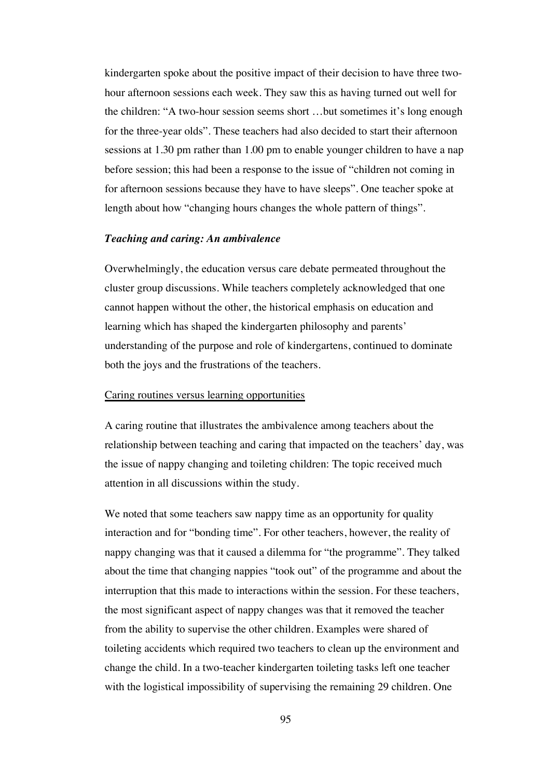kindergarten spoke about the positive impact of their decision to have three twohour afternoon sessions each week. They saw this as having turned out well for the children: "A two-hour session seems short …but sometimes it's long enough for the three-year olds". These teachers had also decided to start their afternoon sessions at 1.30 pm rather than 1.00 pm to enable younger children to have a nap before session; this had been a response to the issue of "children not coming in for afternoon sessions because they have to have sleeps". One teacher spoke at length about how "changing hours changes the whole pattern of things".

#### *Teaching and caring: An ambivalence*

Overwhelmingly, the education versus care debate permeated throughout the cluster group discussions. While teachers completely acknowledged that one cannot happen without the other, the historical emphasis on education and learning which has shaped the kindergarten philosophy and parents' understanding of the purpose and role of kindergartens, continued to dominate both the joys and the frustrations of the teachers.

#### Caring routines versus learning opportunities

A caring routine that illustrates the ambivalence among teachers about the relationship between teaching and caring that impacted on the teachers' day, was the issue of nappy changing and toileting children: The topic received much attention in all discussions within the study.

We noted that some teachers saw nappy time as an opportunity for quality interaction and for "bonding time". For other teachers, however, the reality of nappy changing was that it caused a dilemma for "the programme". They talked about the time that changing nappies "took out" of the programme and about the interruption that this made to interactions within the session. For these teachers, the most significant aspect of nappy changes was that it removed the teacher from the ability to supervise the other children. Examples were shared of toileting accidents which required two teachers to clean up the environment and change the child. In a two-teacher kindergarten toileting tasks left one teacher with the logistical impossibility of supervising the remaining 29 children. One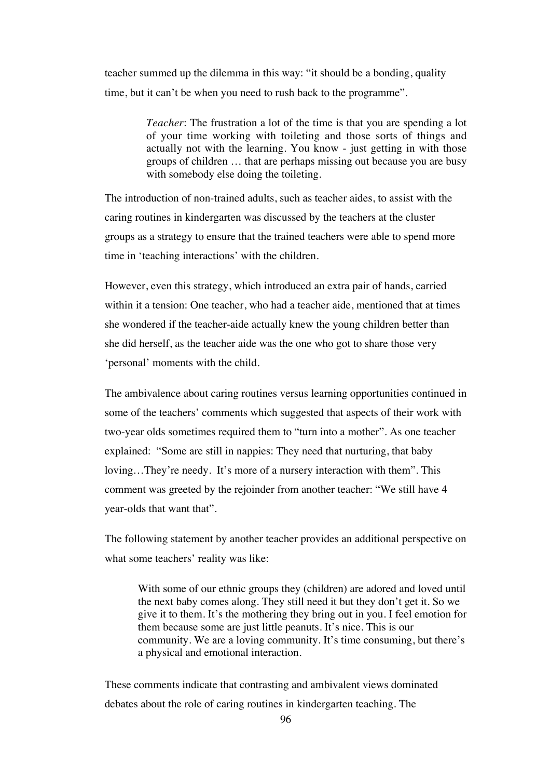teacher summed up the dilemma in this way: "it should be a bonding, quality time, but it can't be when you need to rush back to the programme".

> *Teacher*: The frustration a lot of the time is that you are spending a lot of your time working with toileting and those sorts of things and actually not with the learning. You know - just getting in with those groups of children … that are perhaps missing out because you are busy with somebody else doing the toileting.

The introduction of non-trained adults, such as teacher aides, to assist with the caring routines in kindergarten was discussed by the teachers at the cluster groups as a strategy to ensure that the trained teachers were able to spend more time in 'teaching interactions' with the children.

However, even this strategy, which introduced an extra pair of hands, carried within it a tension: One teacher, who had a teacher aide, mentioned that at times she wondered if the teacher-aide actually knew the young children better than she did herself, as the teacher aide was the one who got to share those very 'personal' moments with the child.

The ambivalence about caring routines versus learning opportunities continued in some of the teachers' comments which suggested that aspects of their work with two-year olds sometimes required them to "turn into a mother". As one teacher explained: "Some are still in nappies: They need that nurturing, that baby loving…They're needy. It's more of a nursery interaction with them". This comment was greeted by the rejoinder from another teacher: "We still have 4 year-olds that want that".

The following statement by another teacher provides an additional perspective on what some teachers' reality was like:

With some of our ethnic groups they (children) are adored and loved until the next baby comes along. They still need it but they don't get it. So we give it to them. It's the mothering they bring out in you. I feel emotion for them because some are just little peanuts. It's nice. This is our community. We are a loving community. It's time consuming, but there's a physical and emotional interaction.

These comments indicate that contrasting and ambivalent views dominated debates about the role of caring routines in kindergarten teaching. The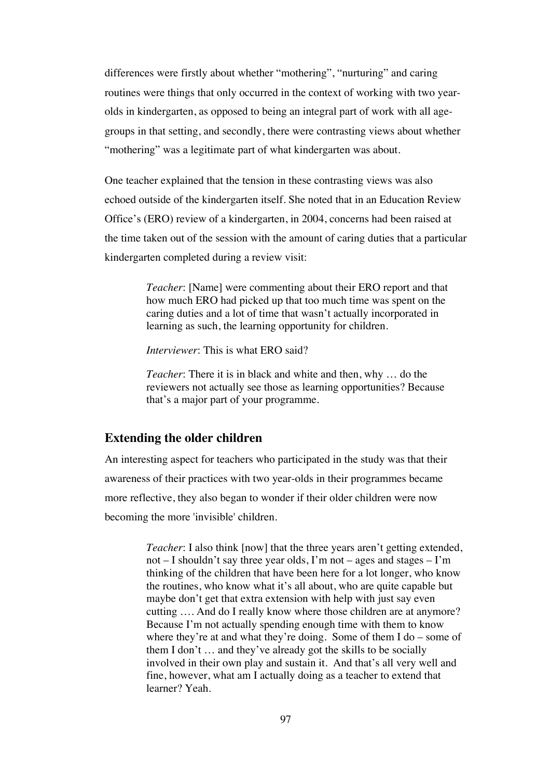differences were firstly about whether "mothering", "nurturing" and caring routines were things that only occurred in the context of working with two yearolds in kindergarten, as opposed to being an integral part of work with all agegroups in that setting, and secondly, there were contrasting views about whether "mothering" was a legitimate part of what kindergarten was about.

One teacher explained that the tension in these contrasting views was also echoed outside of the kindergarten itself. She noted that in an Education Review Office's (ERO) review of a kindergarten, in 2004, concerns had been raised at the time taken out of the session with the amount of caring duties that a particular kindergarten completed during a review visit:

> *Teacher*: [Name] were commenting about their ERO report and that how much ERO had picked up that too much time was spent on the caring duties and a lot of time that wasn't actually incorporated in learning as such, the learning opportunity for children.

*Interviewer*: This is what ERO said?

*Teacher*: There it is in black and white and then, why … do the reviewers not actually see those as learning opportunities? Because that's a major part of your programme.

#### **Extending the older children**

An interesting aspect for teachers who participated in the study was that their awareness of their practices with two year-olds in their programmes became more reflective, they also began to wonder if their older children were now becoming the more 'invisible' children.

> *Teacher*: I also think [now] that the three years aren't getting extended, not – I shouldn't say three year olds, I'm not – ages and stages – I'm thinking of the children that have been here for a lot longer, who know the routines, who know what it's all about, who are quite capable but maybe don't get that extra extension with help with just say even cutting …. And do I really know where those children are at anymore? Because I'm not actually spending enough time with them to know where they're at and what they're doing. Some of them I do – some of them I don't … and they've already got the skills to be socially involved in their own play and sustain it. And that's all very well and fine, however, what am I actually doing as a teacher to extend that learner? Yeah.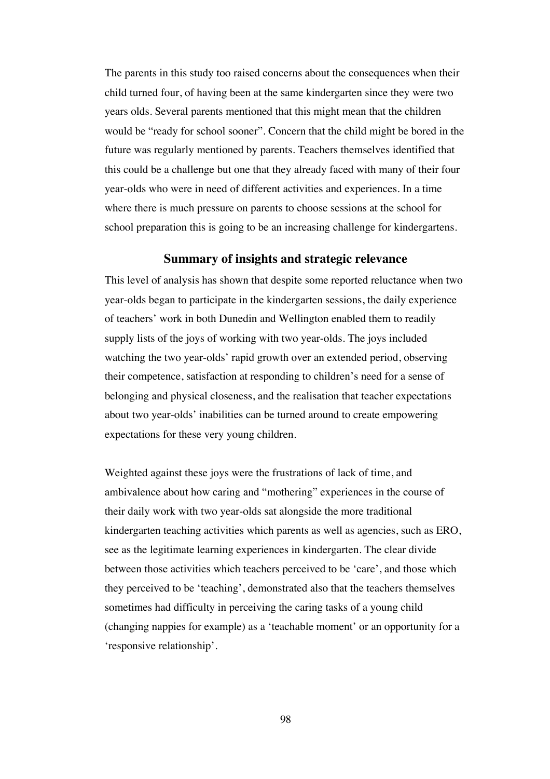The parents in this study too raised concerns about the consequences when their child turned four, of having been at the same kindergarten since they were two years olds. Several parents mentioned that this might mean that the children would be "ready for school sooner". Concern that the child might be bored in the future was regularly mentioned by parents. Teachers themselves identified that this could be a challenge but one that they already faced with many of their four year-olds who were in need of different activities and experiences. In a time where there is much pressure on parents to choose sessions at the school for school preparation this is going to be an increasing challenge for kindergartens.

### **Summary of insights and strategic relevance**

This level of analysis has shown that despite some reported reluctance when two year-olds began to participate in the kindergarten sessions, the daily experience of teachers' work in both Dunedin and Wellington enabled them to readily supply lists of the joys of working with two year-olds. The joys included watching the two year-olds' rapid growth over an extended period, observing their competence, satisfaction at responding to children's need for a sense of belonging and physical closeness, and the realisation that teacher expectations about two year-olds' inabilities can be turned around to create empowering expectations for these very young children.

Weighted against these joys were the frustrations of lack of time, and ambivalence about how caring and "mothering" experiences in the course of their daily work with two year-olds sat alongside the more traditional kindergarten teaching activities which parents as well as agencies, such as ERO, see as the legitimate learning experiences in kindergarten. The clear divide between those activities which teachers perceived to be 'care', and those which they perceived to be 'teaching', demonstrated also that the teachers themselves sometimes had difficulty in perceiving the caring tasks of a young child (changing nappies for example) as a 'teachable moment' or an opportunity for a 'responsive relationship'.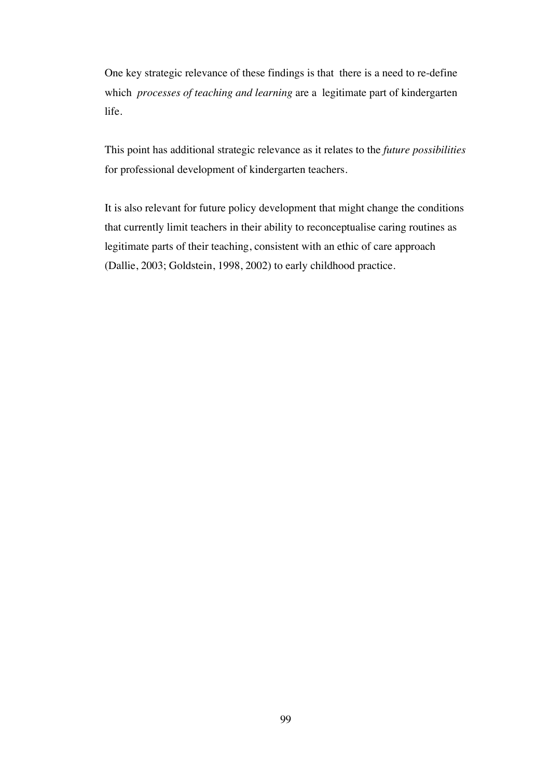One key strategic relevance of these findings is that there is a need to re-define which *processes of teaching and learning* are a legitimate part of kindergarten life.

This point has additional strategic relevance as it relates to the *future possibilities* for professional development of kindergarten teachers.

It is also relevant for future policy development that might change the conditions that currently limit teachers in their ability to reconceptualise caring routines as legitimate parts of their teaching, consistent with an ethic of care approach (Dallie, 2003; Goldstein, 1998, 2002) to early childhood practice.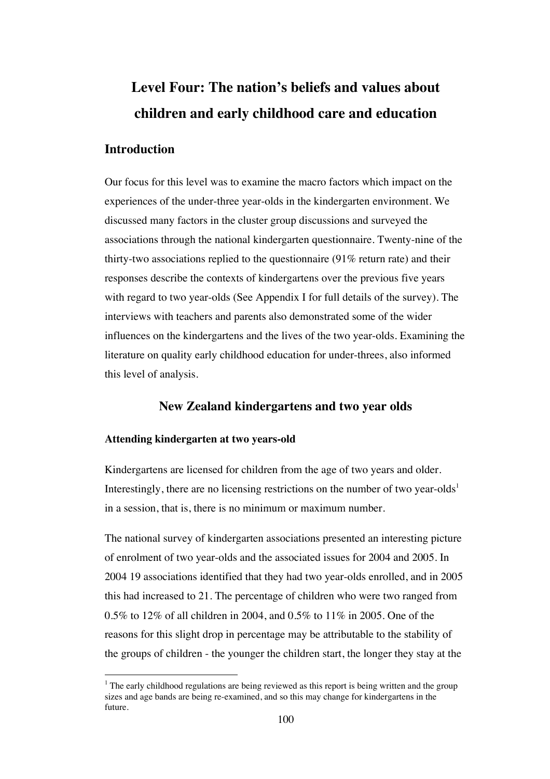# **Level Four: The nation's beliefs and values about children and early childhood care and education**

## **Introduction**

Our focus for this level was to examine the macro factors which impact on the experiences of the under-three year-olds in the kindergarten environment. We discussed many factors in the cluster group discussions and surveyed the associations through the national kindergarten questionnaire. Twenty-nine of the thirty-two associations replied to the questionnaire (91% return rate) and their responses describe the contexts of kindergartens over the previous five years with regard to two year-olds (See Appendix I for full details of the survey). The interviews with teachers and parents also demonstrated some of the wider influences on the kindergartens and the lives of the two year-olds. Examining the literature on quality early childhood education for under-threes, also informed this level of analysis.

## **New Zealand kindergartens and two year olds**

#### **Attending kindergarten at two years-old**

Kindergartens are licensed for children from the age of two years and older. Interestingly, there are no licensing restrictions on the number of two year-olds<sup>1</sup> in a session, that is, there is no minimum or maximum number.

The national survey of kindergarten associations presented an interesting picture of enrolment of two year-olds and the associated issues for 2004 and 2005. In 2004 19 associations identified that they had two year-olds enrolled, and in 2005 this had increased to 21. The percentage of children who were two ranged from 0.5% to 12% of all children in 2004, and 0.5% to 11% in 2005. One of the reasons for this slight drop in percentage may be attributable to the stability of the groups of children - the younger the children start, the longer they stay at the

 $<sup>1</sup>$  The early childhood regulations are being reviewed as this report is being written and the group</sup> sizes and age bands are being re-examined, and so this may change for kindergartens in the future.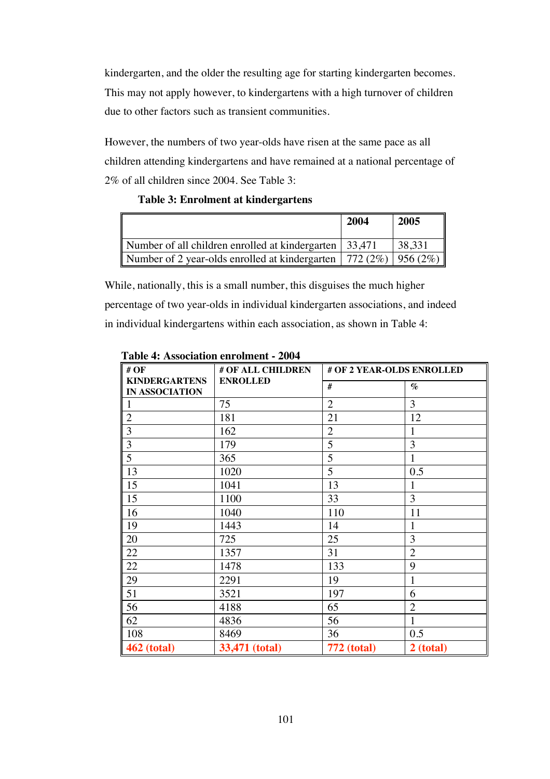kindergarten, and the older the resulting age for starting kindergarten becomes. This may not apply however, to kindergartens with a high turnover of children due to other factors such as transient communities.

However, the numbers of two year-olds have risen at the same pace as all children attending kindergartens and have remained at a national percentage of 2% of all children since 2004. See Table 3:

#### **Table 3: Enrolment at kindergartens**

|                                                                      | 2004 | 2005   |
|----------------------------------------------------------------------|------|--------|
| Number of all children enrolled at kindergarten   33,471             |      | 38,331 |
| Number of 2 year-olds enrolled at kindergarten   772 (2%)   956 (2%) |      |        |

While, nationally, this is a small number, this disguises the much higher percentage of two year-olds in individual kindergarten associations, and indeed in individual kindergartens within each association, as shown in Table 4:

| # $OF$                                        | # OF ALL CHILDREN | # OF 2 YEAR-OLDS ENROLLED |                |
|-----------------------------------------------|-------------------|---------------------------|----------------|
| <b>KINDERGARTENS</b><br><b>IN ASSOCIATION</b> | <b>ENROLLED</b>   | #                         | $\%$           |
| $\mathbf{1}$                                  | 75                | $\overline{2}$            | 3              |
| $\overline{2}$                                | 181               | 21                        | 12             |
| $\overline{3}$                                | 162               | $\overline{2}$            | 1              |
| $\mathfrak{Z}$                                | 179               | 5                         | 3              |
| $\overline{5}$                                | 365               | 5                         | 1              |
| 13                                            | 1020              | 5                         | 0.5            |
| 15                                            | 1041              | 13                        | 1              |
| 15                                            | 1100              | 33                        | 3              |
| 16                                            | 1040              | 110                       | 11             |
| 19                                            | 1443              | 14                        | 1              |
| 20                                            | 725               | 25                        | 3              |
| 22                                            | 1357              | 31                        | $\overline{2}$ |
| 22                                            | 1478              | 133                       | 9              |
| 29                                            | 2291              | 19                        | 1              |
| 51                                            | 3521              | 197                       | 6              |
| 56                                            | 4188              | 65                        | $\overline{2}$ |
| 62                                            | 4836              | 56                        | 1              |
| 108                                           | 8469              | 36                        | 0.5            |
| <b>462 (total)</b>                            | 33,471 (total)    | <b>772 (total)</b>        | 2 (total)      |

**Table 4: Association enrolment - 2004**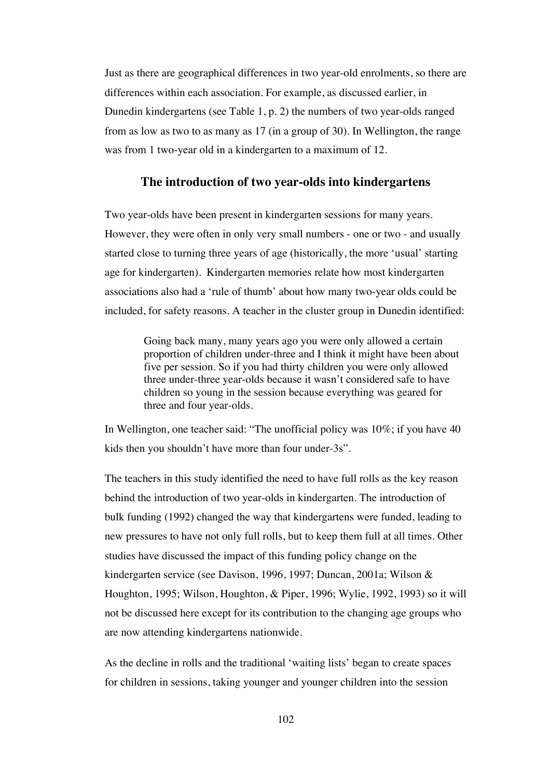Just as there are geographical differences in two year-old enrolments, so there are differences within each association. For example, as discussed earlier, in Dunedin kindergartens (see Table 1, p. 2) the numbers of two year-olds ranged from as low as two to as many as 17 (in a group of 30). In Wellington, the range was from 1 two-year old in a kindergarten to a maximum of 12.

#### **The introduction of two year-olds into kindergartens**

Two year-olds have been present in kindergarten sessions for many years. However, they were often in only very small numbers - one or two - and usually started close to turning three years of age (historically, the more 'usual' starting age for kindergarten). Kindergarten memories relate how most kindergarten associations also had a 'rule of thumb' about how many two-year olds could be included, for safety reasons. A teacher in the cluster group in Dunedin identified:

> Going back many, many years ago you were only allowed a certain proportion of children under-three and I think it might have been about five per session. So if you had thirty children you were only allowed three under-three year-olds because it wasn't considered safe to have children so young in the session because everything was geared for three and four year-olds.

In Wellington, one teacher said: "The unofficial policy was 10%; if you have 40 kids then you shouldn't have more than four under-3s".

The teachers in this study identified the need to have full rolls as the key reason behind the introduction of two year-olds in kindergarten. The introduction of bulk funding (1992) changed the way that kindergartens were funded, leading to new pressures to have not only full rolls, but to keep them full at all times. Other studies have discussed the impact of this funding policy change on the kindergarten service (see Davison, 1996, 1997; Duncan, 2001a; Wilson & Houghton, 1995; Wilson, Houghton, & Piper, 1996; Wylie, 1992, 1993) so it will not be discussed here except for its contribution to the changing age groups who are now attending kindergartens nationwide.

As the decline in rolls and the traditional 'waiting lists' began to create spaces for children in sessions, taking younger and younger children into the session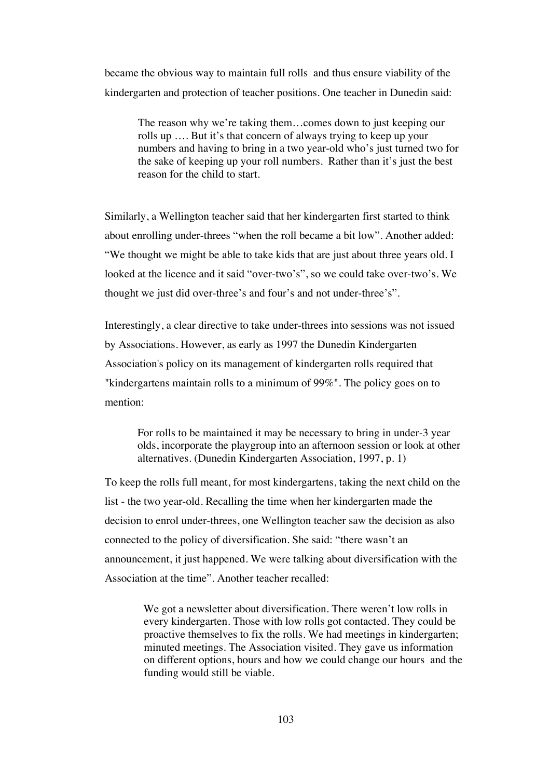became the obvious way to maintain full rolls and thus ensure viability of the kindergarten and protection of teacher positions. One teacher in Dunedin said:

The reason why we're taking them…comes down to just keeping our rolls up …. But it's that concern of always trying to keep up your numbers and having to bring in a two year-old who's just turned two for the sake of keeping up your roll numbers. Rather than it's just the best reason for the child to start.

Similarly, a Wellington teacher said that her kindergarten first started to think about enrolling under-threes "when the roll became a bit low". Another added: "We thought we might be able to take kids that are just about three years old. I looked at the licence and it said "over-two's", so we could take over-two's. We thought we just did over-three's and four's and not under-three's".

Interestingly, a clear directive to take under-threes into sessions was not issued by Associations. However, as early as 1997 the Dunedin Kindergarten Association's policy on its management of kindergarten rolls required that "kindergartens maintain rolls to a minimum of 99%". The policy goes on to mention:

For rolls to be maintained it may be necessary to bring in under-3 year olds, incorporate the playgroup into an afternoon session or look at other alternatives. (Dunedin Kindergarten Association, 1997, p. 1)

To keep the rolls full meant, for most kindergartens, taking the next child on the list - the two year-old. Recalling the time when her kindergarten made the decision to enrol under-threes, one Wellington teacher saw the decision as also connected to the policy of diversification. She said: "there wasn't an announcement, it just happened. We were talking about diversification with the Association at the time". Another teacher recalled:

> We got a newsletter about diversification. There weren't low rolls in every kindergarten. Those with low rolls got contacted. They could be proactive themselves to fix the rolls. We had meetings in kindergarten; minuted meetings. The Association visited. They gave us information on different options, hours and how we could change our hours and the funding would still be viable.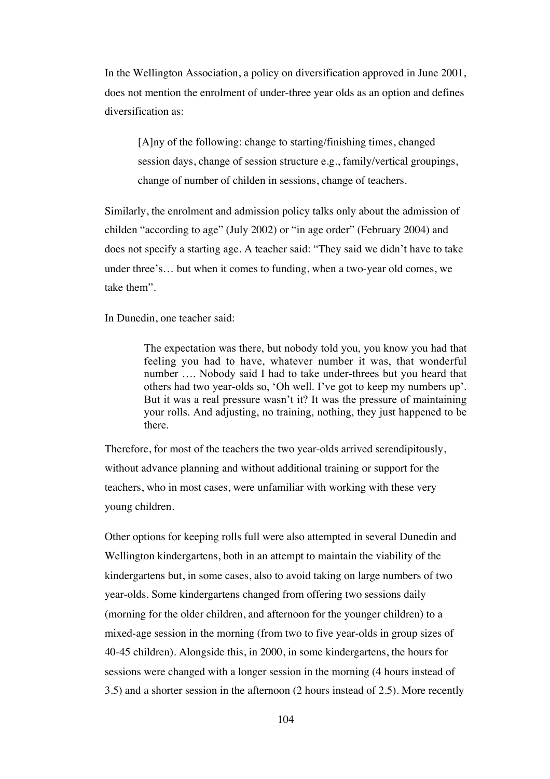In the Wellington Association, a policy on diversification approved in June 2001, does not mention the enrolment of under-three year olds as an option and defines diversification as:

[A]ny of the following: change to starting/finishing times, changed session days, change of session structure e.g., family/vertical groupings, change of number of childen in sessions, change of teachers.

Similarly, the enrolment and admission policy talks only about the admission of childen "according to age" (July 2002) or "in age order" (February 2004) and does not specify a starting age. A teacher said: "They said we didn't have to take under three's… but when it comes to funding, when a two-year old comes, we take them".

In Dunedin, one teacher said:

The expectation was there, but nobody told you, you know you had that feeling you had to have, whatever number it was, that wonderful number …. Nobody said I had to take under-threes but you heard that others had two year-olds so, 'Oh well. I've got to keep my numbers up'. But it was a real pressure wasn't it? It was the pressure of maintaining your rolls. And adjusting, no training, nothing, they just happened to be there.

Therefore, for most of the teachers the two year-olds arrived serendipitously, without advance planning and without additional training or support for the teachers, who in most cases, were unfamiliar with working with these very young children.

Other options for keeping rolls full were also attempted in several Dunedin and Wellington kindergartens, both in an attempt to maintain the viability of the kindergartens but, in some cases, also to avoid taking on large numbers of two year-olds. Some kindergartens changed from offering two sessions daily (morning for the older children, and afternoon for the younger children) to a mixed-age session in the morning (from two to five year-olds in group sizes of 40-45 children). Alongside this, in 2000, in some kindergartens, the hours for sessions were changed with a longer session in the morning (4 hours instead of 3.5) and a shorter session in the afternoon (2 hours instead of 2.5). More recently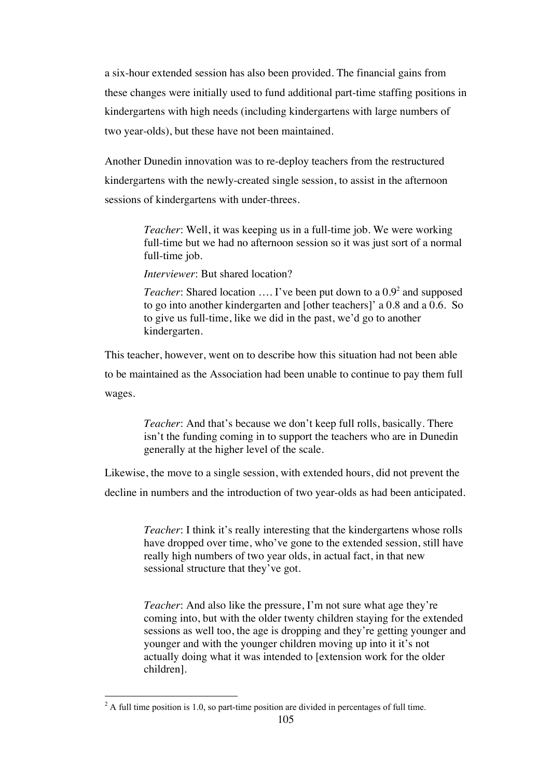a six-hour extended session has also been provided. The financial gains from these changes were initially used to fund additional part-time staffing positions in kindergartens with high needs (including kindergartens with large numbers of two year-olds), but these have not been maintained.

Another Dunedin innovation was to re-deploy teachers from the restructured kindergartens with the newly-created single session, to assist in the afternoon sessions of kindergartens with under-threes.

> *Teacher*: Well, it was keeping us in a full-time job. We were working full-time but we had no afternoon session so it was just sort of a normal full-time job.

*Interviewer*: But shared location?

Teacher: Shared location .... I've been put down to a 0.9<sup>2</sup> and supposed to go into another kindergarten and [other teachers]' a 0.8 and a 0.6. So to give us full-time, like we did in the past, we'd go to another kindergarten.

This teacher, however, went on to describe how this situation had not been able to be maintained as the Association had been unable to continue to pay them full wages.

> *Teacher*: And that's because we don't keep full rolls, basically. There isn't the funding coming in to support the teachers who are in Dunedin generally at the higher level of the scale.

Likewise, the move to a single session, with extended hours, did not prevent the decline in numbers and the introduction of two year-olds as had been anticipated.

> *Teacher*: I think it's really interesting that the kindergartens whose rolls have dropped over time, who've gone to the extended session, still have really high numbers of two year olds, in actual fact, in that new sessional structure that they've got.

*Teacher*: And also like the pressure, I'm not sure what age they're coming into, but with the older twenty children staying for the extended sessions as well too, the age is dropping and they're getting younger and younger and with the younger children moving up into it it's not actually doing what it was intended to [extension work for the older children].

 $\frac{1}{2}$  $2$  A full time position is 1.0, so part-time position are divided in percentages of full time.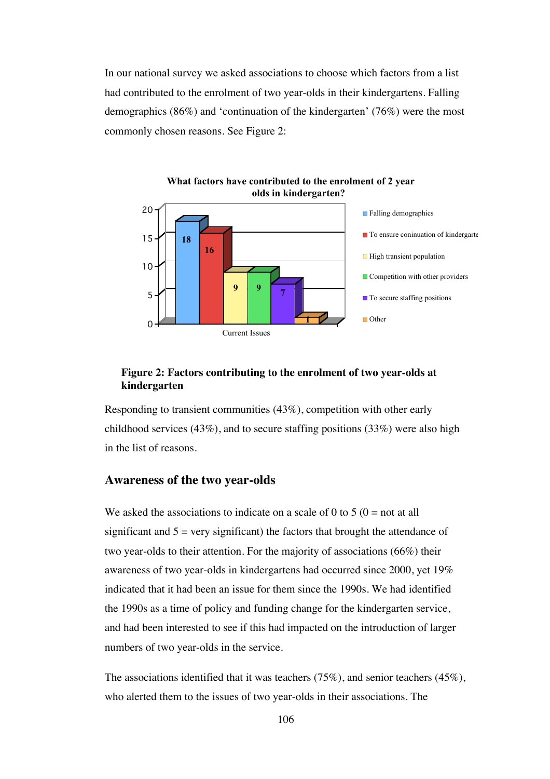In our national survey we asked associations to choose which factors from a list had contributed to the enrolment of two year-olds in their kindergartens. Falling demographics (86%) and 'continuation of the kindergarten' (76%) were the most commonly chosen reasons. See Figure 2:



#### **Figure 2: Factors contributing to the enrolment of two year-olds at kindergarten**

Responding to transient communities (43%), competition with other early childhood services (43%), and to secure staffing positions (33%) were also high in the list of reasons.

#### **Awareness of the two year-olds**

We asked the associations to indicate on a scale of 0 to 5 ( $0 =$  not at all significant and  $5 = \text{very significant}$  the factors that brought the attendance of two year-olds to their attention. For the majority of associations (66%) their awareness of two year-olds in kindergartens had occurred since 2000, yet 19% indicated that it had been an issue for them since the 1990s. We had identified the 1990s as a time of policy and funding change for the kindergarten service, and had been interested to see if this had impacted on the introduction of larger numbers of two year-olds in the service.

The associations identified that it was teachers (75%), and senior teachers (45%), who alerted them to the issues of two year-olds in their associations. The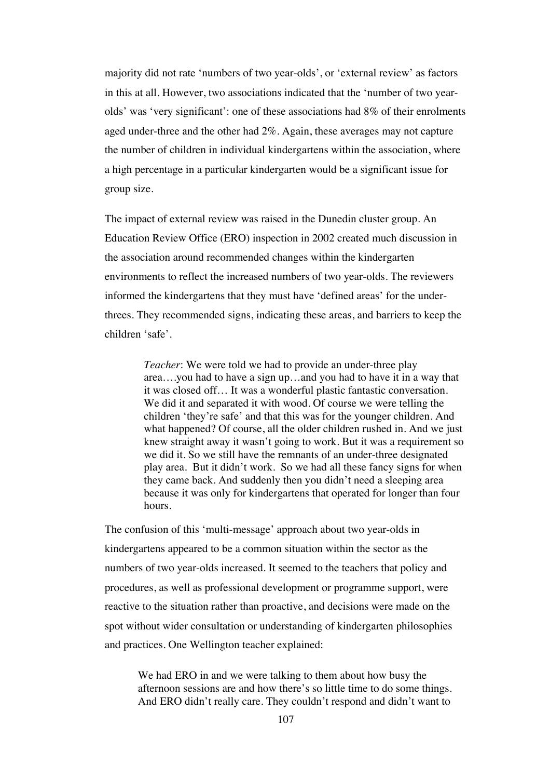majority did not rate 'numbers of two year-olds', or 'external review' as factors in this at all. However, two associations indicated that the 'number of two yearolds' was 'very significant': one of these associations had 8% of their enrolments aged under-three and the other had 2%. Again, these averages may not capture the number of children in individual kindergartens within the association, where a high percentage in a particular kindergarten would be a significant issue for group size.

The impact of external review was raised in the Dunedin cluster group. An Education Review Office (ERO) inspection in 2002 created much discussion in the association around recommended changes within the kindergarten environments to reflect the increased numbers of two year-olds. The reviewers informed the kindergartens that they must have 'defined areas' for the underthrees. They recommended signs, indicating these areas, and barriers to keep the children 'safe'.

> *Teacher*: We were told we had to provide an under-three play area….you had to have a sign up…and you had to have it in a way that it was closed off… It was a wonderful plastic fantastic conversation. We did it and separated it with wood. Of course we were telling the children 'they're safe' and that this was for the younger children. And what happened? Of course, all the older children rushed in. And we just knew straight away it wasn't going to work. But it was a requirement so we did it. So we still have the remnants of an under-three designated play area. But it didn't work. So we had all these fancy signs for when they came back. And suddenly then you didn't need a sleeping area because it was only for kindergartens that operated for longer than four hours.

The confusion of this 'multi-message' approach about two year-olds in kindergartens appeared to be a common situation within the sector as the numbers of two year-olds increased. It seemed to the teachers that policy and procedures, as well as professional development or programme support, were reactive to the situation rather than proactive, and decisions were made on the spot without wider consultation or understanding of kindergarten philosophies and practices. One Wellington teacher explained:

We had ERO in and we were talking to them about how busy the afternoon sessions are and how there's so little time to do some things. And ERO didn't really care. They couldn't respond and didn't want to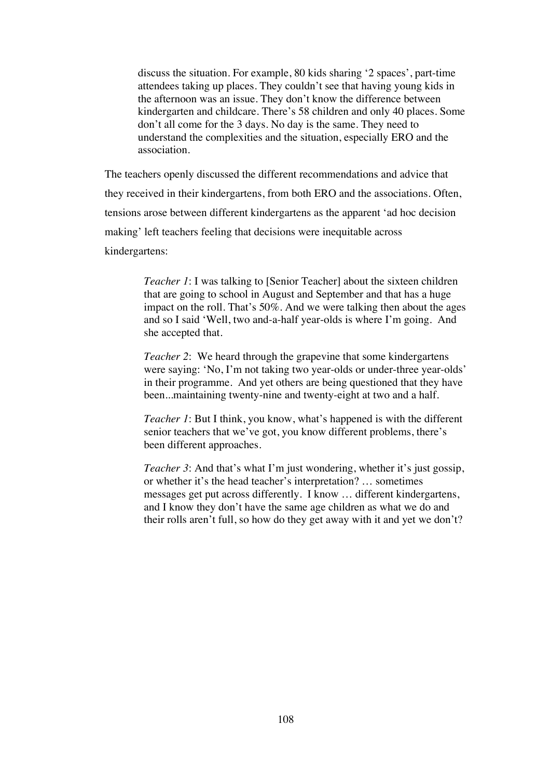discuss the situation. For example, 80 kids sharing '2 spaces', part-time attendees taking up places. They couldn't see that having young kids in the afternoon was an issue. They don't know the difference between kindergarten and childcare. There's 58 children and only 40 places. Some don't all come for the 3 days. No day is the same. They need to understand the complexities and the situation, especially ERO and the association.

The teachers openly discussed the different recommendations and advice that they received in their kindergartens, from both ERO and the associations. Often, tensions arose between different kindergartens as the apparent 'ad hoc decision making' left teachers feeling that decisions were inequitable across kindergartens:

> *Teacher 1*: I was talking to [Senior Teacher] about the sixteen children that are going to school in August and September and that has a huge impact on the roll. That's 50%. And we were talking then about the ages and so I said 'Well, two and-a-half year-olds is where I'm going. And she accepted that.

> *Teacher 2*: We heard through the grapevine that some kindergartens were saying: 'No, I'm not taking two year-olds or under-three year-olds' in their programme. And yet others are being questioned that they have been...maintaining twenty-nine and twenty-eight at two and a half.

> *Teacher 1*: But I think, you know, what's happened is with the different senior teachers that we've got, you know different problems, there's been different approaches.

> *Teacher 3*: And that's what I'm just wondering, whether it's just gossip, or whether it's the head teacher's interpretation? … sometimes messages get put across differently. I know … different kindergartens, and I know they don't have the same age children as what we do and their rolls aren't full, so how do they get away with it and yet we don't?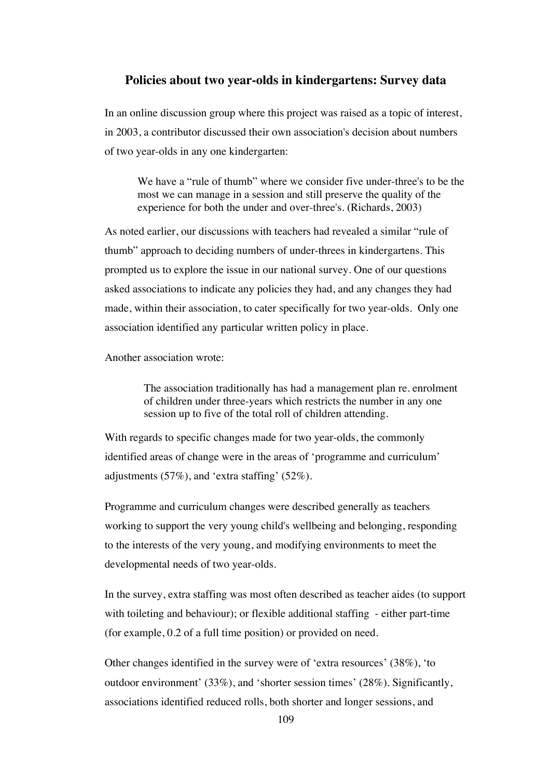#### **Policies about two year-olds in kindergartens: Survey data**

In an online discussion group where this project was raised as a topic of interest, in 2003, a contributor discussed their own association's decision about numbers of two year-olds in any one kindergarten:

We have a "rule of thumb" where we consider five under-three's to be the most we can manage in a session and still preserve the quality of the experience for both the under and over-three's. (Richards, 2003)

As noted earlier, our discussions with teachers had revealed a similar "rule of thumb" approach to deciding numbers of under-threes in kindergartens. This prompted us to explore the issue in our national survey. One of our questions asked associations to indicate any policies they had, and any changes they had made, within their association, to cater specifically for two year-olds. Only one association identified any particular written policy in place.

Another association wrote:

The association traditionally has had a management plan re. enrolment of children under three-years which restricts the number in any one session up to five of the total roll of children attending.

With regards to specific changes made for two year-olds, the commonly identified areas of change were in the areas of 'programme and curriculum' adjustments (57%), and 'extra staffing' (52%).

Programme and curriculum changes were described generally as teachers working to support the very young child's wellbeing and belonging, responding to the interests of the very young, and modifying environments to meet the developmental needs of two year-olds.

In the survey, extra staffing was most often described as teacher aides (to support with toileting and behaviour); or flexible additional staffing - either part-time (for example, 0.2 of a full time position) or provided on need.

Other changes identified in the survey were of 'extra resources' (38%), 'to outdoor environment' (33%), and 'shorter session times' (28%). Significantly, associations identified reduced rolls, both shorter and longer sessions, and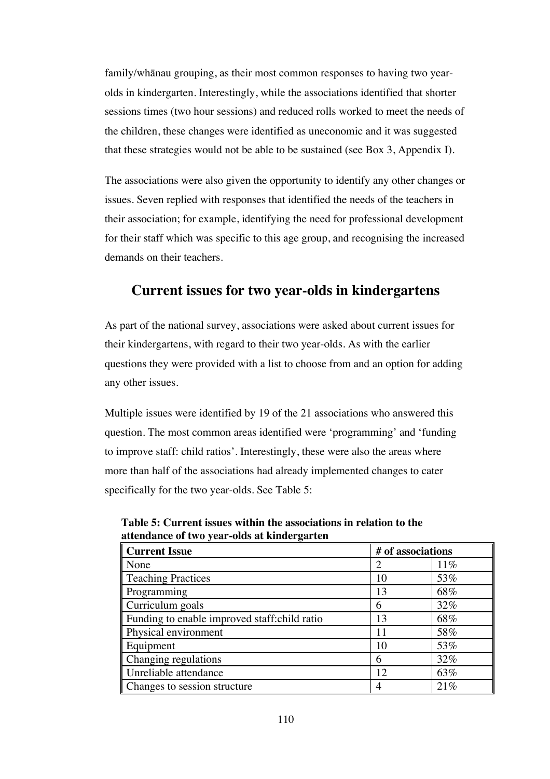family/whänau grouping, as their most common responses to having two yearolds in kindergarten. Interestingly, while the associations identified that shorter sessions times (two hour sessions) and reduced rolls worked to meet the needs of the children, these changes were identified as uneconomic and it was suggested that these strategies would not be able to be sustained (see Box 3, Appendix I).

The associations were also given the opportunity to identify any other changes or issues. Seven replied with responses that identified the needs of the teachers in their association; for example, identifying the need for professional development for their staff which was specific to this age group, and recognising the increased demands on their teachers.

## **Current issues for two year-olds in kindergartens**

As part of the national survey, associations were asked about current issues for their kindergartens, with regard to their two year-olds. As with the earlier questions they were provided with a list to choose from and an option for adding any other issues.

Multiple issues were identified by 19 of the 21 associations who answered this question. The most common areas identified were 'programming' and 'funding to improve staff: child ratios'. Interestingly, these were also the areas where more than half of the associations had already implemented changes to cater specifically for the two year-olds. See Table 5:

| <b>Current Issue</b>                          | # of associations |     |
|-----------------------------------------------|-------------------|-----|
| None                                          |                   | 11% |
| <b>Teaching Practices</b>                     | 10                | 53% |
| Programming                                   | 13                | 68% |
| Curriculum goals                              | 6                 | 32% |
| Funding to enable improved staff: child ratio | 13                | 68% |
| Physical environment                          | 11                | 58% |
| Equipment                                     | 10                | 53% |
| Changing regulations                          | 6                 | 32% |
| Unreliable attendance                         | 12                | 63% |
| Changes to session structure                  | 4                 | 21% |

**Table 5: Current issues within the associations in relation to the attendance of two year-olds at kindergarten**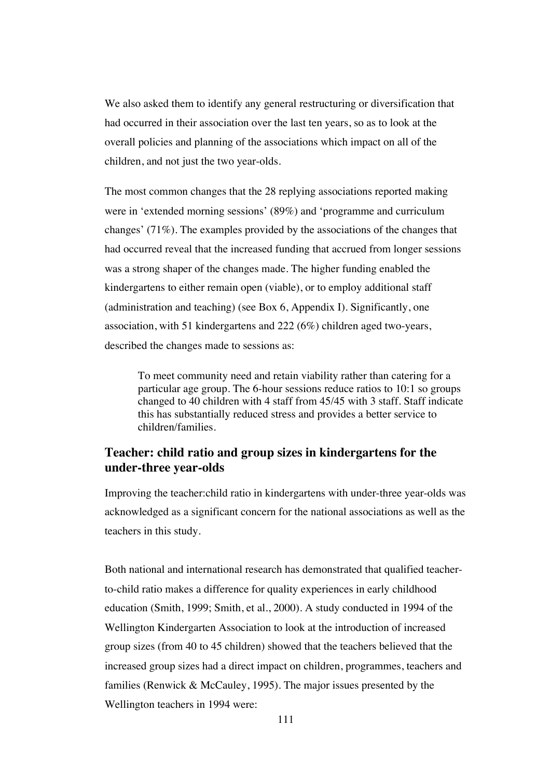We also asked them to identify any general restructuring or diversification that had occurred in their association over the last ten years, so as to look at the overall policies and planning of the associations which impact on all of the children, and not just the two year-olds.

The most common changes that the 28 replying associations reported making were in 'extended morning sessions' (89%) and 'programme and curriculum changes' (71%). The examples provided by the associations of the changes that had occurred reveal that the increased funding that accrued from longer sessions was a strong shaper of the changes made. The higher funding enabled the kindergartens to either remain open (viable), or to employ additional staff (administration and teaching) (see Box 6, Appendix I). Significantly, one association, with 51 kindergartens and 222 (6%) children aged two-years, described the changes made to sessions as:

To meet community need and retain viability rather than catering for a particular age group. The 6-hour sessions reduce ratios to 10:1 so groups changed to 40 children with 4 staff from 45/45 with 3 staff. Staff indicate this has substantially reduced stress and provides a better service to children/families.

## **Teacher: child ratio and group sizes in kindergartens for the under-three year-olds**

Improving the teacher:child ratio in kindergartens with under-three year-olds was acknowledged as a significant concern for the national associations as well as the teachers in this study.

Both national and international research has demonstrated that qualified teacherto-child ratio makes a difference for quality experiences in early childhood education (Smith, 1999; Smith, et al., 2000). A study conducted in 1994 of the Wellington Kindergarten Association to look at the introduction of increased group sizes (from 40 to 45 children) showed that the teachers believed that the increased group sizes had a direct impact on children, programmes, teachers and families (Renwick & McCauley, 1995). The major issues presented by the Wellington teachers in 1994 were: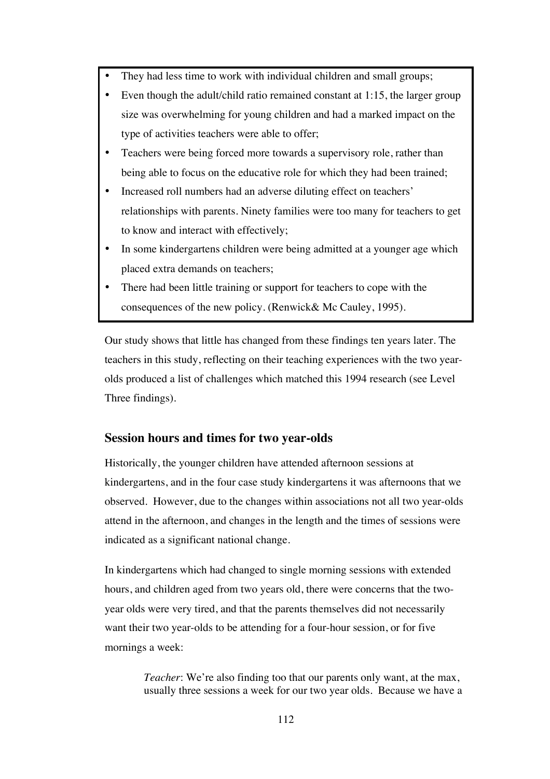- They had less time to work with individual children and small groups;
- Even though the adult/child ratio remained constant at 1:15, the larger group size was overwhelming for young children and had a marked impact on the type of activities teachers were able to offer;
- Teachers were being forced more towards a supervisory role, rather than being able to focus on the educative role for which they had been trained;
- Increased roll numbers had an adverse diluting effect on teachers' relationships with parents. Ninety families were too many for teachers to get to know and interact with effectively;
- In some kindergartens children were being admitted at a younger age which placed extra demands on teachers;
- There had been little training or support for teachers to cope with the consequences of the new policy. (Renwick& Mc Cauley, 1995).

Our study shows that little has changed from these findings ten years later. The teachers in this study, reflecting on their teaching experiences with the two yearolds produced a list of challenges which matched this 1994 research (see Level Three findings).

## **Session hours and times for two year-olds**

Historically, the younger children have attended afternoon sessions at kindergartens, and in the four case study kindergartens it was afternoons that we observed. However, due to the changes within associations not all two year-olds attend in the afternoon, and changes in the length and the times of sessions were indicated as a significant national change.

In kindergartens which had changed to single morning sessions with extended hours, and children aged from two years old, there were concerns that the twoyear olds were very tired, and that the parents themselves did not necessarily want their two year-olds to be attending for a four-hour session, or for five mornings a week:

> *Teacher*: We're also finding too that our parents only want, at the max, usually three sessions a week for our two year olds. Because we have a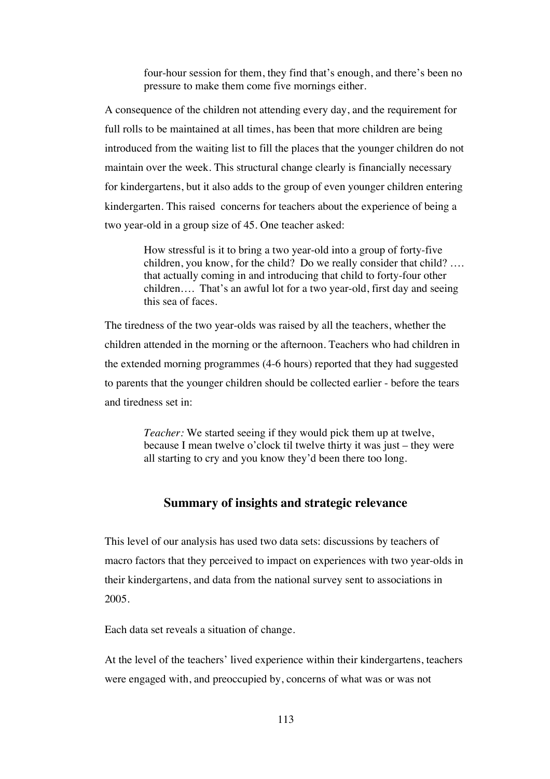four-hour session for them, they find that's enough, and there's been no pressure to make them come five mornings either.

A consequence of the children not attending every day, and the requirement for full rolls to be maintained at all times, has been that more children are being introduced from the waiting list to fill the places that the younger children do not maintain over the week. This structural change clearly is financially necessary for kindergartens, but it also adds to the group of even younger children entering kindergarten. This raised concerns for teachers about the experience of being a two year-old in a group size of 45. One teacher asked:

> How stressful is it to bring a two year-old into a group of forty-five children, you know, for the child? Do we really consider that child? …. that actually coming in and introducing that child to forty-four other children…. That's an awful lot for a two year-old, first day and seeing this sea of faces.

The tiredness of the two year-olds was raised by all the teachers, whether the children attended in the morning or the afternoon. Teachers who had children in the extended morning programmes (4-6 hours) reported that they had suggested to parents that the younger children should be collected earlier - before the tears and tiredness set in:

> *Teacher:* We started seeing if they would pick them up at twelve, because I mean twelve o'clock til twelve thirty it was just – they were all starting to cry and you know they'd been there too long.

#### **Summary of insights and strategic relevance**

This level of our analysis has used two data sets: discussions by teachers of macro factors that they perceived to impact on experiences with two year-olds in their kindergartens, and data from the national survey sent to associations in 2005.

Each data set reveals a situation of change.

At the level of the teachers' lived experience within their kindergartens, teachers were engaged with, and preoccupied by, concerns of what was or was not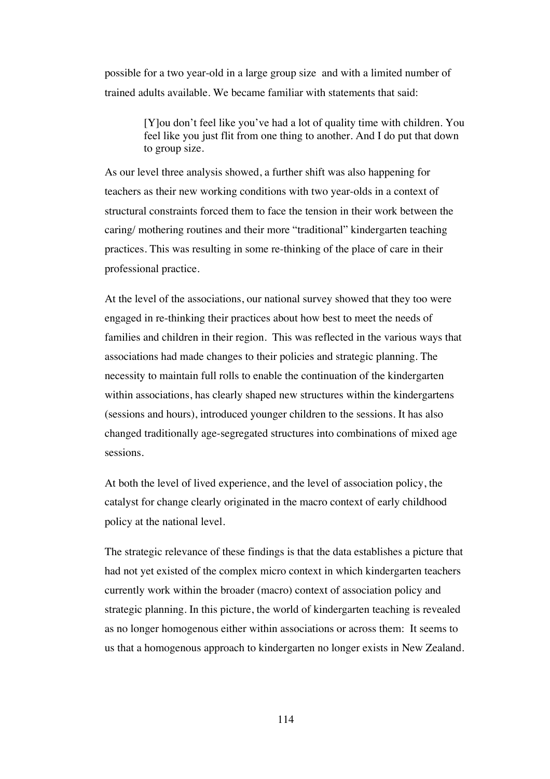possible for a two year-old in a large group size and with a limited number of trained adults available. We became familiar with statements that said:

> [Y]ou don't feel like you've had a lot of quality time with children. You feel like you just flit from one thing to another. And I do put that down to group size.

As our level three analysis showed, a further shift was also happening for teachers as their new working conditions with two year-olds in a context of structural constraints forced them to face the tension in their work between the caring/ mothering routines and their more "traditional" kindergarten teaching practices. This was resulting in some re-thinking of the place of care in their professional practice.

At the level of the associations, our national survey showed that they too were engaged in re-thinking their practices about how best to meet the needs of families and children in their region. This was reflected in the various ways that associations had made changes to their policies and strategic planning. The necessity to maintain full rolls to enable the continuation of the kindergarten within associations, has clearly shaped new structures within the kindergartens (sessions and hours), introduced younger children to the sessions. It has also changed traditionally age-segregated structures into combinations of mixed age sessions.

At both the level of lived experience, and the level of association policy, the catalyst for change clearly originated in the macro context of early childhood policy at the national level.

The strategic relevance of these findings is that the data establishes a picture that had not yet existed of the complex micro context in which kindergarten teachers currently work within the broader (macro) context of association policy and strategic planning. In this picture, the world of kindergarten teaching is revealed as no longer homogenous either within associations or across them: It seems to us that a homogenous approach to kindergarten no longer exists in New Zealand.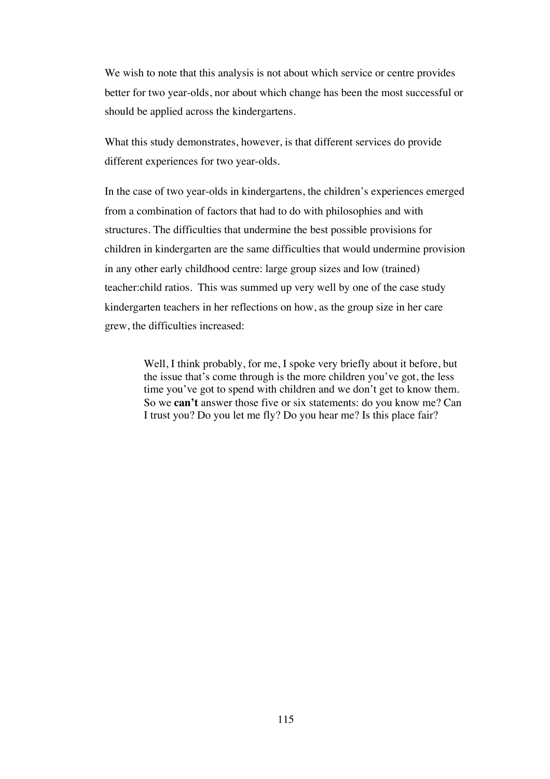We wish to note that this analysis is not about which service or centre provides better for two year-olds, nor about which change has been the most successful or should be applied across the kindergartens.

What this study demonstrates, however, is that different services do provide different experiences for two year-olds.

In the case of two year-olds in kindergartens, the children's experiences emerged from a combination of factors that had to do with philosophies and with structures. The difficulties that undermine the best possible provisions for children in kindergarten are the same difficulties that would undermine provision in any other early childhood centre: large group sizes and low (trained) teacher:child ratios. This was summed up very well by one of the case study kindergarten teachers in her reflections on how, as the group size in her care grew, the difficulties increased:

> Well, I think probably, for me, I spoke very briefly about it before, but the issue that's come through is the more children you've got, the less time you've got to spend with children and we don't get to know them. So we **can't** answer those five or six statements: do you know me? Can I trust you? Do you let me fly? Do you hear me? Is this place fair?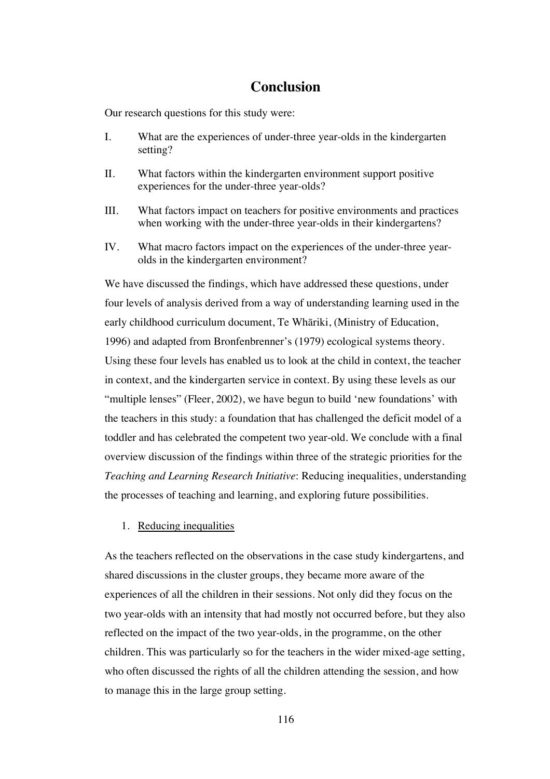## **Conclusion**

Our research questions for this study were:

- I. What are the experiences of under-three year-olds in the kindergarten setting?
- II. What factors within the kindergarten environment support positive experiences for the under-three year-olds?
- III. What factors impact on teachers for positive environments and practices when working with the under-three year-olds in their kindergartens?
- IV. What macro factors impact on the experiences of the under-three yearolds in the kindergarten environment?

We have discussed the findings, which have addressed these questions, under four levels of analysis derived from a way of understanding learning used in the early childhood curriculum document, Te Whäriki, (Ministry of Education, 1996) and adapted from Bronfenbrenner's (1979) ecological systems theory. Using these four levels has enabled us to look at the child in context, the teacher in context, and the kindergarten service in context. By using these levels as our "multiple lenses" (Fleer, 2002), we have begun to build 'new foundations' with the teachers in this study: a foundation that has challenged the deficit model of a toddler and has celebrated the competent two year-old. We conclude with a final overview discussion of the findings within three of the strategic priorities for the *Teaching and Learning Research Initiative*: Reducing inequalities, understanding the processes of teaching and learning, and exploring future possibilities.

#### 1. Reducing inequalities

As the teachers reflected on the observations in the case study kindergartens, and shared discussions in the cluster groups, they became more aware of the experiences of all the children in their sessions. Not only did they focus on the two year-olds with an intensity that had mostly not occurred before, but they also reflected on the impact of the two year-olds, in the programme, on the other children. This was particularly so for the teachers in the wider mixed-age setting, who often discussed the rights of all the children attending the session, and how to manage this in the large group setting.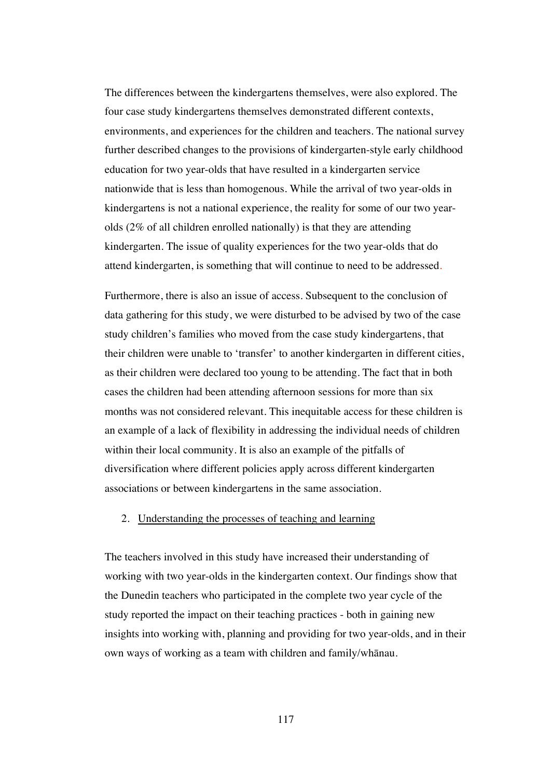The differences between the kindergartens themselves, were also explored. The four case study kindergartens themselves demonstrated different contexts, environments, and experiences for the children and teachers. The national survey further described changes to the provisions of kindergarten-style early childhood education for two year-olds that have resulted in a kindergarten service nationwide that is less than homogenous. While the arrival of two year-olds in kindergartens is not a national experience, the reality for some of our two yearolds (2% of all children enrolled nationally) is that they are attending kindergarten. The issue of quality experiences for the two year-olds that do attend kindergarten, is something that will continue to need to be addressed.

Furthermore, there is also an issue of access. Subsequent to the conclusion of data gathering for this study, we were disturbed to be advised by two of the case study children's families who moved from the case study kindergartens, that their children were unable to 'transfer' to another kindergarten in different cities, as their children were declared too young to be attending. The fact that in both cases the children had been attending afternoon sessions for more than six months was not considered relevant. This inequitable access for these children is an example of a lack of flexibility in addressing the individual needs of children within their local community. It is also an example of the pitfalls of diversification where different policies apply across different kindergarten associations or between kindergartens in the same association.

#### 2. Understanding the processes of teaching and learning

The teachers involved in this study have increased their understanding of working with two year-olds in the kindergarten context. Our findings show that the Dunedin teachers who participated in the complete two year cycle of the study reported the impact on their teaching practices - both in gaining new insights into working with, planning and providing for two year-olds, and in their own ways of working as a team with children and family/whänau.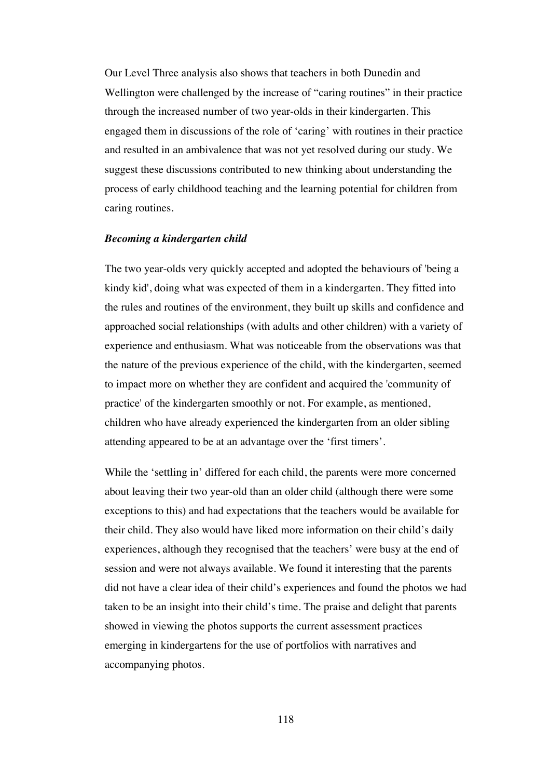Our Level Three analysis also shows that teachers in both Dunedin and Wellington were challenged by the increase of "caring routines" in their practice through the increased number of two year-olds in their kindergarten. This engaged them in discussions of the role of 'caring' with routines in their practice and resulted in an ambivalence that was not yet resolved during our study. We suggest these discussions contributed to new thinking about understanding the process of early childhood teaching and the learning potential for children from caring routines.

#### *Becoming a kindergarten child*

The two year-olds very quickly accepted and adopted the behaviours of 'being a kindy kid', doing what was expected of them in a kindergarten. They fitted into the rules and routines of the environment, they built up skills and confidence and approached social relationships (with adults and other children) with a variety of experience and enthusiasm. What was noticeable from the observations was that the nature of the previous experience of the child, with the kindergarten, seemed to impact more on whether they are confident and acquired the 'community of practice' of the kindergarten smoothly or not. For example, as mentioned, children who have already experienced the kindergarten from an older sibling attending appeared to be at an advantage over the 'first timers'.

While the 'settling in' differed for each child, the parents were more concerned about leaving their two year-old than an older child (although there were some exceptions to this) and had expectations that the teachers would be available for their child. They also would have liked more information on their child's daily experiences, although they recognised that the teachers' were busy at the end of session and were not always available. We found it interesting that the parents did not have a clear idea of their child's experiences and found the photos we had taken to be an insight into their child's time. The praise and delight that parents showed in viewing the photos supports the current assessment practices emerging in kindergartens for the use of portfolios with narratives and accompanying photos.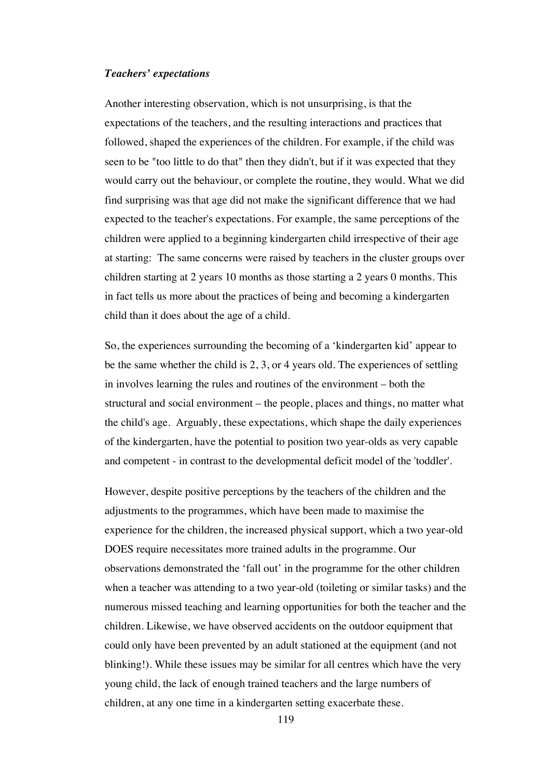#### *Teachers' expectations*

Another interesting observation, which is not unsurprising, is that the expectations of the teachers, and the resulting interactions and practices that followed, shaped the experiences of the children. For example, if the child was seen to be "too little to do that" then they didn't, but if it was expected that they would carry out the behaviour, or complete the routine, they would. What we did find surprising was that age did not make the significant difference that we had expected to the teacher's expectations. For example, the same perceptions of the children were applied to a beginning kindergarten child irrespective of their age at starting: The same concerns were raised by teachers in the cluster groups over children starting at 2 years 10 months as those starting a 2 years 0 months. This in fact tells us more about the practices of being and becoming a kindergarten child than it does about the age of a child.

So, the experiences surrounding the becoming of a 'kindergarten kid' appear to be the same whether the child is 2, 3, or 4 years old. The experiences of settling in involves learning the rules and routines of the environment – both the structural and social environment – the people, places and things, no matter what the child's age. Arguably, these expectations, which shape the daily experiences of the kindergarten, have the potential to position two year-olds as very capable and competent - in contrast to the developmental deficit model of the 'toddler'.

However, despite positive perceptions by the teachers of the children and the adjustments to the programmes, which have been made to maximise the experience for the children, the increased physical support, which a two year-old DOES require necessitates more trained adults in the programme. Our observations demonstrated the 'fall out' in the programme for the other children when a teacher was attending to a two year-old (toileting or similar tasks) and the numerous missed teaching and learning opportunities for both the teacher and the children. Likewise, we have observed accidents on the outdoor equipment that could only have been prevented by an adult stationed at the equipment (and not blinking!). While these issues may be similar for all centres which have the very young child, the lack of enough trained teachers and the large numbers of children, at any one time in a kindergarten setting exacerbate these.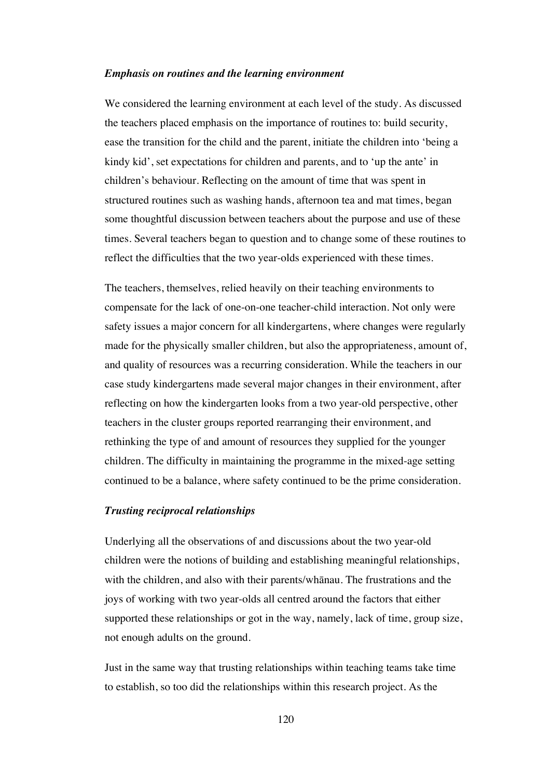#### *Emphasis on routines and the learning environment*

We considered the learning environment at each level of the study. As discussed the teachers placed emphasis on the importance of routines to: build security, ease the transition for the child and the parent, initiate the children into 'being a kindy kid', set expectations for children and parents, and to 'up the ante' in children's behaviour. Reflecting on the amount of time that was spent in structured routines such as washing hands, afternoon tea and mat times, began some thoughtful discussion between teachers about the purpose and use of these times. Several teachers began to question and to change some of these routines to reflect the difficulties that the two year-olds experienced with these times.

The teachers, themselves, relied heavily on their teaching environments to compensate for the lack of one-on-one teacher-child interaction. Not only were safety issues a major concern for all kindergartens, where changes were regularly made for the physically smaller children, but also the appropriateness, amount of, and quality of resources was a recurring consideration. While the teachers in our case study kindergartens made several major changes in their environment, after reflecting on how the kindergarten looks from a two year-old perspective, other teachers in the cluster groups reported rearranging their environment, and rethinking the type of and amount of resources they supplied for the younger children. The difficulty in maintaining the programme in the mixed-age setting continued to be a balance, where safety continued to be the prime consideration.

#### *Trusting reciprocal relationships*

Underlying all the observations of and discussions about the two year-old children were the notions of building and establishing meaningful relationships, with the children, and also with their parents/whänau. The frustrations and the joys of working with two year-olds all centred around the factors that either supported these relationships or got in the way, namely, lack of time, group size, not enough adults on the ground.

Just in the same way that trusting relationships within teaching teams take time to establish, so too did the relationships within this research project. As the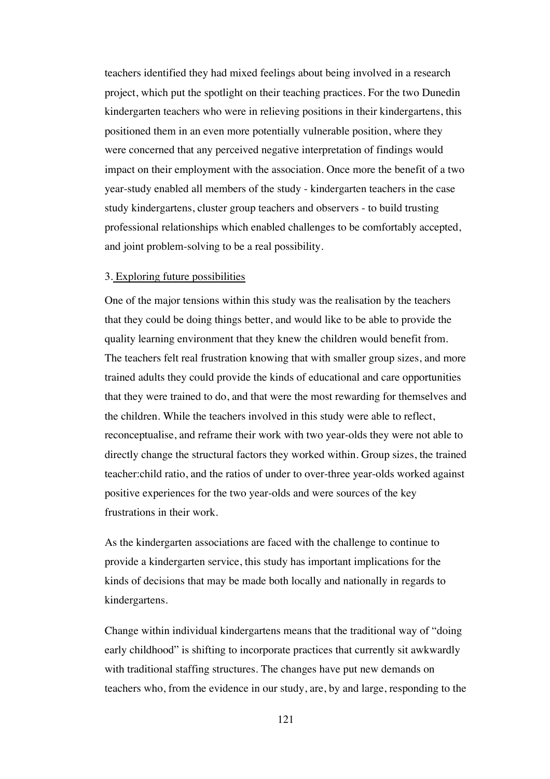teachers identified they had mixed feelings about being involved in a research project, which put the spotlight on their teaching practices. For the two Dunedin kindergarten teachers who were in relieving positions in their kindergartens, this positioned them in an even more potentially vulnerable position, where they were concerned that any perceived negative interpretation of findings would impact on their employment with the association. Once more the benefit of a two year-study enabled all members of the study - kindergarten teachers in the case study kindergartens, cluster group teachers and observers - to build trusting professional relationships which enabled challenges to be comfortably accepted, and joint problem-solving to be a real possibility.

#### 3. Exploring future possibilities

One of the major tensions within this study was the realisation by the teachers that they could be doing things better, and would like to be able to provide the quality learning environment that they knew the children would benefit from. The teachers felt real frustration knowing that with smaller group sizes, and more trained adults they could provide the kinds of educational and care opportunities that they were trained to do, and that were the most rewarding for themselves and the children. While the teachers involved in this study were able to reflect, reconceptualise, and reframe their work with two year-olds they were not able to directly change the structural factors they worked within. Group sizes, the trained teacher:child ratio, and the ratios of under to over-three year-olds worked against positive experiences for the two year-olds and were sources of the key frustrations in their work.

As the kindergarten associations are faced with the challenge to continue to provide a kindergarten service, this study has important implications for the kinds of decisions that may be made both locally and nationally in regards to kindergartens.

Change within individual kindergartens means that the traditional way of "doing early childhood" is shifting to incorporate practices that currently sit awkwardly with traditional staffing structures. The changes have put new demands on teachers who, from the evidence in our study, are, by and large, responding to the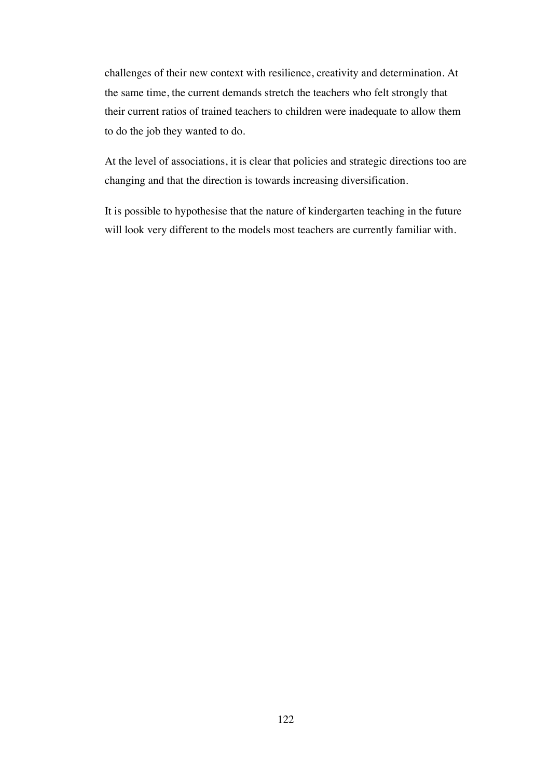challenges of their new context with resilience, creativity and determination. At the same time, the current demands stretch the teachers who felt strongly that their current ratios of trained teachers to children were inadequate to allow them to do the job they wanted to do.

At the level of associations, it is clear that policies and strategic directions too are changing and that the direction is towards increasing diversification.

It is possible to hypothesise that the nature of kindergarten teaching in the future will look very different to the models most teachers are currently familiar with.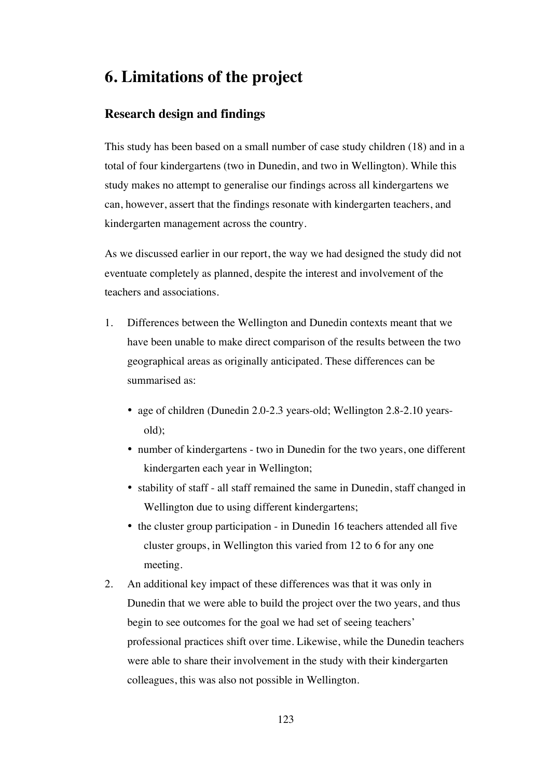## **6. Limitations of the project**

## **Research design and findings**

This study has been based on a small number of case study children (18) and in a total of four kindergartens (two in Dunedin, and two in Wellington). While this study makes no attempt to generalise our findings across all kindergartens we can, however, assert that the findings resonate with kindergarten teachers, and kindergarten management across the country.

As we discussed earlier in our report, the way we had designed the study did not eventuate completely as planned, despite the interest and involvement of the teachers and associations.

- 1. Differences between the Wellington and Dunedin contexts meant that we have been unable to make direct comparison of the results between the two geographical areas as originally anticipated. These differences can be summarised as:
	- age of children (Dunedin 2.0-2.3 years-old; Wellington 2.8-2.10 yearsold);
	- number of kindergartens two in Dunedin for the two years, one different kindergarten each year in Wellington;
	- stability of staff all staff remained the same in Dunedin, staff changed in Wellington due to using different kindergartens;
	- the cluster group participation in Dunedin 16 teachers attended all five cluster groups, in Wellington this varied from 12 to 6 for any one meeting.
- 2. An additional key impact of these differences was that it was only in Dunedin that we were able to build the project over the two years, and thus begin to see outcomes for the goal we had set of seeing teachers' professional practices shift over time. Likewise, while the Dunedin teachers were able to share their involvement in the study with their kindergarten colleagues, this was also not possible in Wellington.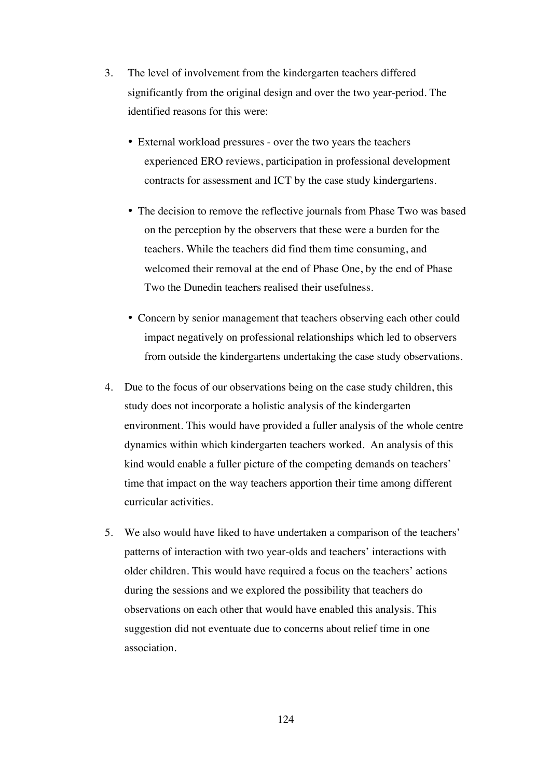- 3. The level of involvement from the kindergarten teachers differed significantly from the original design and over the two year-period. The identified reasons for this were:
	- External workload pressures over the two years the teachers experienced ERO reviews, participation in professional development contracts for assessment and ICT by the case study kindergartens.
	- The decision to remove the reflective journals from Phase Two was based on the perception by the observers that these were a burden for the teachers. While the teachers did find them time consuming, and welcomed their removal at the end of Phase One, by the end of Phase Two the Dunedin teachers realised their usefulness.
	- Concern by senior management that teachers observing each other could impact negatively on professional relationships which led to observers from outside the kindergartens undertaking the case study observations.
- 4. Due to the focus of our observations being on the case study children, this study does not incorporate a holistic analysis of the kindergarten environment. This would have provided a fuller analysis of the whole centre dynamics within which kindergarten teachers worked. An analysis of this kind would enable a fuller picture of the competing demands on teachers' time that impact on the way teachers apportion their time among different curricular activities.
- 5. We also would have liked to have undertaken a comparison of the teachers' patterns of interaction with two year-olds and teachers' interactions with older children. This would have required a focus on the teachers' actions during the sessions and we explored the possibility that teachers do observations on each other that would have enabled this analysis. This suggestion did not eventuate due to concerns about relief time in one association.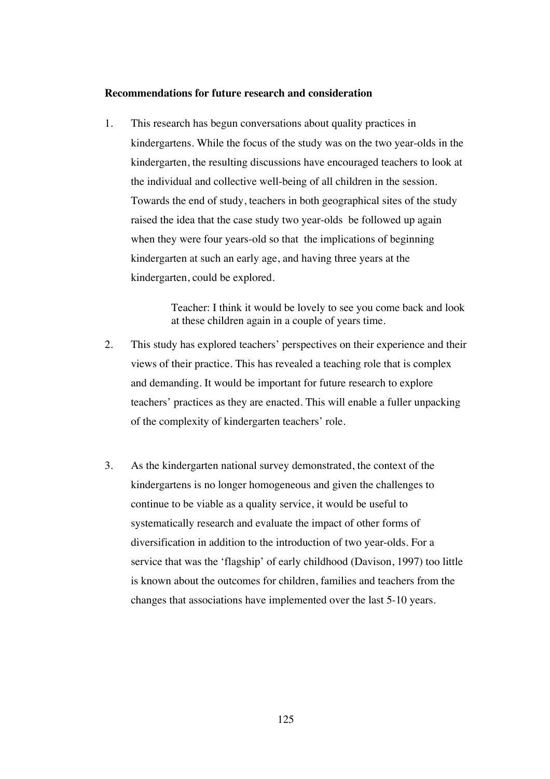#### **Recommendations for future research and consideration**

1. This research has begun conversations about quality practices in kindergartens. While the focus of the study was on the two year-olds in the kindergarten, the resulting discussions have encouraged teachers to look at the individual and collective well-being of all children in the session. Towards the end of study, teachers in both geographical sites of the study raised the idea that the case study two year-olds be followed up again when they were four years-old so that the implications of beginning kindergarten at such an early age, and having three years at the kindergarten, could be explored.

> Teacher: I think it would be lovely to see you come back and look at these children again in a couple of years time.

- 2. This study has explored teachers' perspectives on their experience and their views of their practice. This has revealed a teaching role that is complex and demanding. It would be important for future research to explore teachers' practices as they are enacted. This will enable a fuller unpacking of the complexity of kindergarten teachers' role.
- 3. As the kindergarten national survey demonstrated, the context of the kindergartens is no longer homogeneous and given the challenges to continue to be viable as a quality service, it would be useful to systematically research and evaluate the impact of other forms of diversification in addition to the introduction of two year-olds. For a service that was the 'flagship' of early childhood (Davison, 1997) too little is known about the outcomes for children, families and teachers from the changes that associations have implemented over the last 5-10 years.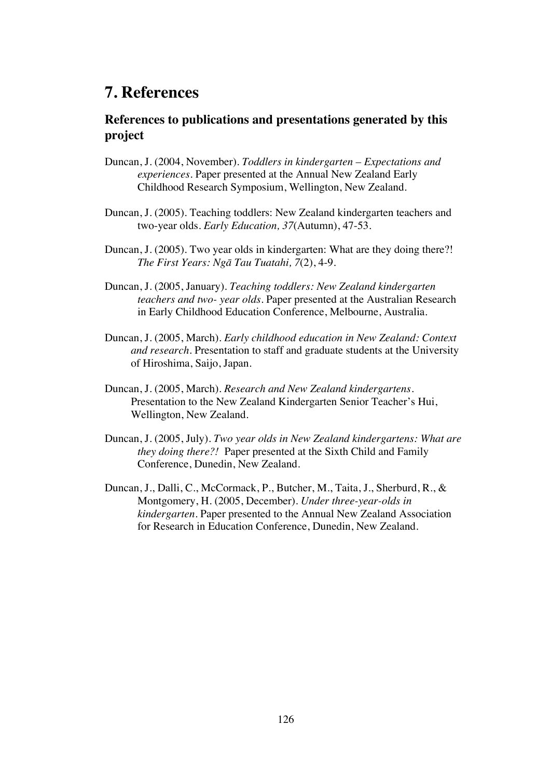## **7. References**

## **References to publications and presentations generated by this project**

- Duncan, J. (2004, November). *Toddlers in kindergarten Expectations and experiences.* Paper presented at the Annual New Zealand Early Childhood Research Symposium, Wellington, New Zealand.
- Duncan, J. (2005). Teaching toddlers: New Zealand kindergarten teachers and two-year olds. *Early Education, 37*(Autumn), 47-53.
- Duncan, J. (2005). Two year olds in kindergarten: What are they doing there?! *The First Years: Ngä Tau Tuatahi, 7*(2), 4-9.
- Duncan, J. (2005, January). *Teaching toddlers: New Zealand kindergarten teachers and two- year olds.* Paper presented at the Australian Research in Early Childhood Education Conference, Melbourne, Australia.
- Duncan, J. (2005, March). *Early childhood education in New Zealand: Context and research*. Presentation to staff and graduate students at the University of Hiroshima, Saijo, Japan.
- Duncan, J. (2005, March). *Research and New Zealand kindergartens*. Presentation to the New Zealand Kindergarten Senior Teacher's Hui, Wellington, New Zealand.
- Duncan, J. (2005, July)*. Two year olds in New Zealand kindergartens: What are they doing there?!* Paper presented at the Sixth Child and Family Conference, Dunedin, New Zealand.
- Duncan, J., Dalli, C., McCormack, P., Butcher, M., Taita, J., Sherburd, R., & Montgomery, H. (2005, December). *Under three-year-olds in kindergarten.* Paper presented to the Annual New Zealand Association for Research in Education Conference, Dunedin, New Zealand.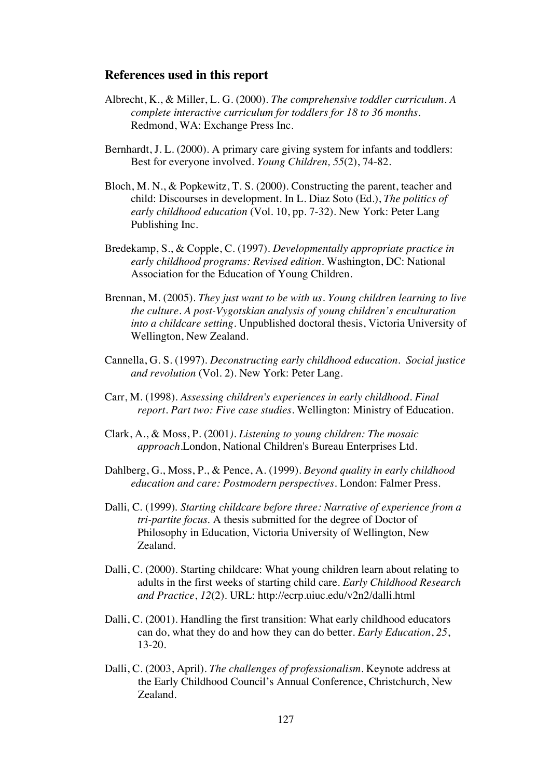#### **References used in this report**

- Albrecht, K., & Miller, L. G. (2000). *The comprehensive toddler curriculum. A complete interactive curriculum for toddlers for 18 to 36 months*. Redmond, WA: Exchange Press Inc.
- Bernhardt, J. L. (2000). A primary care giving system for infants and toddlers: Best for everyone involved. *Young Children, 55*(2), 74-82.
- Bloch, M. N., & Popkewitz, T. S. (2000). Constructing the parent, teacher and child: Discourses in development. In L. Diaz Soto (Ed.), *The politics of early childhood education* (Vol. 10, pp. 7-32). New York: Peter Lang Publishing Inc.
- Bredekamp, S., & Copple, C. (1997). *Developmentally appropriate practice in early childhood programs: Revised edition*. Washington, DC: National Association for the Education of Young Children.
- Brennan, M. (2005). *They just want to be with us. Young children learning to live the culture. A post-Vygotskian analysis of young children's enculturation into a childcare setting.* Unpublished doctoral thesis, Victoria University of Wellington, New Zealand.
- Cannella, G. S. (1997). *Deconstructing early childhood education. Social justice and revolution* (Vol. 2). New York: Peter Lang.
- Carr, M. (1998). *Assessing children's experiences in early childhood. Final report. Part two: Five case studies*. Wellington: Ministry of Education.
- Clark, A., & Moss, P. (2001*). Listening to young children: The mosaic approach*.London, National Children's Bureau Enterprises Ltd.
- Dahlberg, G., Moss, P., & Pence, A. (1999). *Beyond quality in early childhood education and care: Postmodern perspectives*. London: Falmer Press.
- Dalli, C. (1999). *Starting childcare before three: Narrative of experience from a tri-partite focus.* A thesis submitted for the degree of Doctor of Philosophy in Education, Victoria University of Wellington, New Zealand.
- Dalli, C. (2000). Starting childcare: What young children learn about relating to adults in the first weeks of starting child care. *Early Childhood Research and Practice*, *12*(2). URL: http://ecrp.uiuc.edu/v2n2/dalli.html
- Dalli, C. (2001). Handling the first transition: What early childhood educators can do, what they do and how they can do better. *Early Education*, *25*, 13-20.
- Dalli, C. (2003, April). *The challenges of professionalism*. Keynote address at the Early Childhood Council's Annual Conference, Christchurch, New Zealand.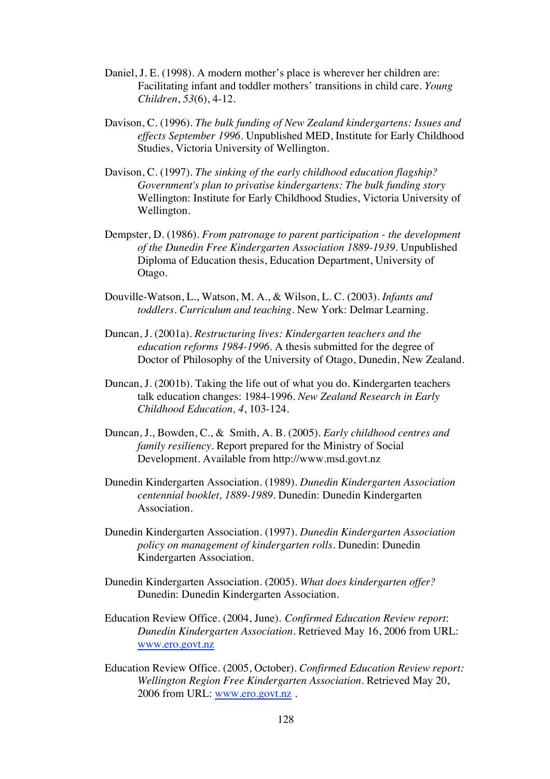- Daniel, J. E. (1998). A modern mother's place is wherever her children are: Facilitating infant and toddler mothers' transitions in child care. *Young Children*, *53*(6), 4-12.
- Davison, C. (1996). *The bulk funding of New Zealand kindergartens: Issues and effects September 1996.* Unpublished MED, Institute for Early Childhood Studies, Victoria University of Wellington.
- Davison, C. (1997). *The sinking of the early childhood education flagship? Government's plan to privatise kindergartens: The bulk funding story* Wellington: Institute for Early Childhood Studies, Victoria University of Wellington.
- Dempster, D. (1986). *From patronage to parent participation the development of the Dunedin Free Kindergarten Association 1889-1939*. Unpublished Diploma of Education thesis, Education Department, University of Otago.
- Douville-Watson, L., Watson, M. A., & Wilson, L. C. (2003). *Infants and toddlers. Curriculum and teaching*. New York: Delmar Learning.
- Duncan, J. (2001a). *Restructuring lives: Kindergarten teachers and the education reforms 1984-1996*. A thesis submitted for the degree of Doctor of Philosophy of the University of Otago, Dunedin, New Zealand.
- Duncan, J. (2001b). Taking the life out of what you do. Kindergarten teachers talk education changes: 1984-1996. *New Zealand Research in Early Childhood Education, 4*, 103-124.
- Duncan, J., Bowden, C., & Smith, A. B. (2005). *Early childhood centres and family resiliency.* Report prepared for the Ministry of Social Development. Available from http://www.msd.govt.nz
- Dunedin Kindergarten Association. (1989). *Dunedin Kindergarten Association centennial booklet, 1889-1989*. Dunedin: Dunedin Kindergarten Association.
- Dunedin Kindergarten Association. (1997). *Dunedin Kindergarten Association policy on management of kindergarten rolls.* Dunedin: Dunedin Kindergarten Association.
- Dunedin Kindergarten Association. (2005). *What does kindergarten offer?* Dunedin: Dunedin Kindergarten Association.
- Education Review Office. (2004, June). *Confirmed Education Review report*: *Dunedin Kindergarten Association*. Retrieved May 16, 2006 from URL: www.ero.govt.nz
- Education Review Office. (2005, October). *Confirmed Education Review report: Wellington Region Free Kindergarten Association*. Retrieved May 20, 2006 from URL: www.ero.govt.nz .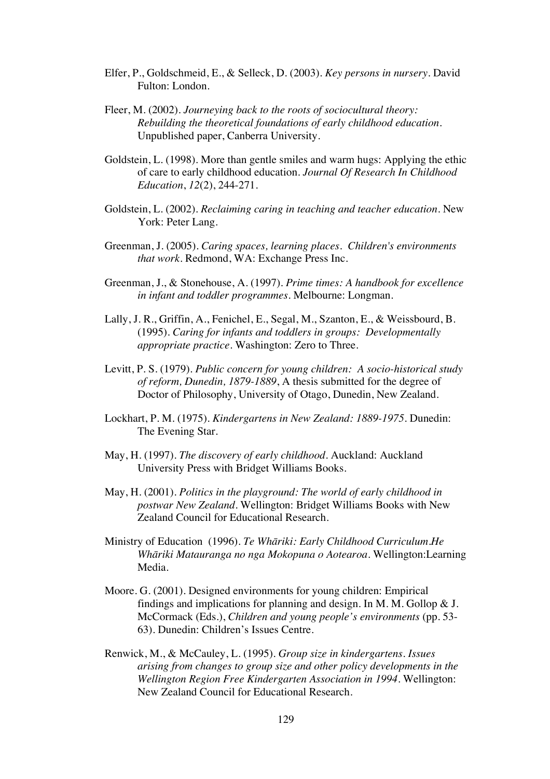- Elfer, P., Goldschmeid, E., & Selleck, D. (2003). *Key persons in nursery*. David Fulton: London.
- Fleer, M. (2002). *Journeying back to the roots of sociocultural theory: Rebuilding the theoretical foundations of early childhood education*. Unpublished paper, Canberra University.
- Goldstein, L. (1998). More than gentle smiles and warm hugs: Applying the ethic of care to early childhood education. *Journal Of Research In Childhood Education*, *12*(2), 244-271.
- Goldstein, L. (2002). *Reclaiming caring in teaching and teacher education*. New York: Peter Lang.
- Greenman, J. (2005). *Caring spaces, learning places. Children's environments that work*. Redmond, WA: Exchange Press Inc.
- Greenman, J., & Stonehouse, A. (1997). *Prime times: A handbook for excellence in infant and toddler programmes.* Melbourne: Longman.
- Lally, J. R., Griffin, A., Fenichel, E., Segal, M., Szanton, E., & Weissbourd, B. (1995). *Caring for infants and toddlers in groups: Developmentally appropriate practice*. Washington: Zero to Three.
- Levitt, P. S. (1979). *Public concern for young children: A socio-historical study of reform, Dunedin, 1879-1889*, A thesis submitted for the degree of Doctor of Philosophy, University of Otago, Dunedin, New Zealand.
- Lockhart, P. M. (1975). *Kindergartens in New Zealand: 1889-1975.* Dunedin: The Evening Star.
- May, H. (1997). *The discovery of early childhood*. Auckland: Auckland University Press with Bridget Williams Books.
- May, H. (2001). *Politics in the playground: The world of early childhood in postwar New Zealand.* Wellington: Bridget Williams Books with New Zealand Council for Educational Research.
- Ministry of Education (1996). *Te Whäriki: Early Childhood Curriculum.He Whäriki Matauranga no nga Mokopuna o Aotearoa*. Wellington:Learning Media.
- Moore. G. (2001). Designed environments for young children: Empirical findings and implications for planning and design. In M. M. Gollop & J. McCormack (Eds.), *Children and young people's environments* (pp. 53- 63). Dunedin: Children's Issues Centre.
- Renwick, M., & McCauley, L. (1995). *Group size in kindergartens. Issues arising from changes to group size and other policy developments in the Wellington Region Free Kindergarten Association in 1994*. Wellington: New Zealand Council for Educational Research.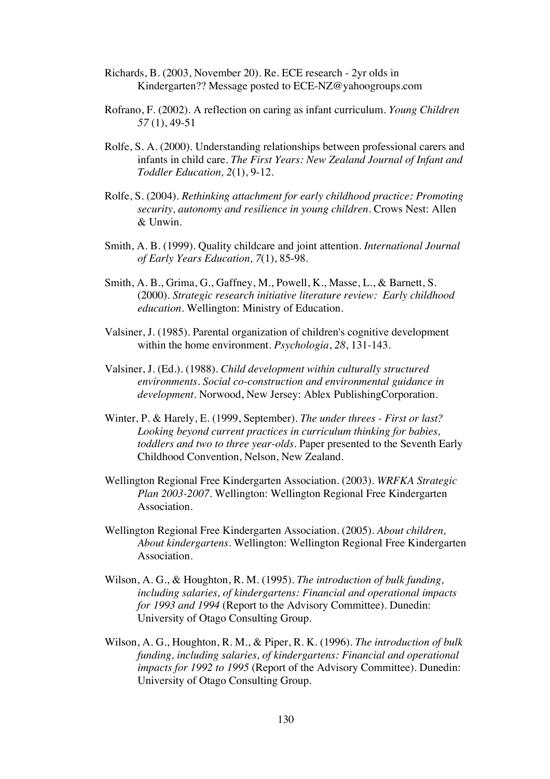- Richards, B. (2003, November 20). Re. ECE research 2yr olds in Kindergarten?? Message posted to ECE-NZ@yahoogroups.com
- Rofrano, F. (2002). A reflection on caring as infant curriculum. *Young Children 57* (1), 49-51
- Rolfe, S. A. (2000). Understanding relationships between professional carers and infants in child care. *The First Years: New Zealand Journal of Infant and Toddler Education, 2*(1), 9-12.
- Rolfe, S. (2004). *Rethinking attachment for early childhood practice: Promoting security, autonomy and resilience in young children*. Crows Nest: Allen & Unwin.
- Smith, A. B. (1999). Quality childcare and joint attention. *International Journal of Early Years Education, 7*(1), 85-98.
- Smith, A. B., Grima, G., Gaffney, M., Powell, K., Masse, L., & Barnett, S. (2000). *Strategic research initiative literature review: Early childhood education*. Wellington: Ministry of Education.
- Valsiner, J. (1985). Parental organization of children's cognitive development within the home environment. *Psychologia*, *28*, 131-143.
- Valsiner, J. (Ed.). (1988). *Child development within culturally structured environments. Social co-construction and environmental guidance in development*. Norwood, New Jersey: Ablex PublishingCorporation.
- Winter, P. & Harely, E. (1999, September)*. The under threes First or last? Looking beyond current practices in curriculum thinking for babies, toddlers and two to three year-olds*. Paper presented to the Seventh Early Childhood Convention, Nelson, New Zealand.
- Wellington Regional Free Kindergarten Association. (2003). *WRFKA Strategic Plan 2003-2007*. Wellington: Wellington Regional Free Kindergarten Association.
- Wellington Regional Free Kindergarten Association. (2005). *About children, About kindergartens*. Wellington: Wellington Regional Free Kindergarten Association.
- Wilson, A. G., & Houghton, R. M. (1995). *The introduction of bulk funding, including salaries, of kindergartens: Financial and operational impacts for 1993 and 1994* (Report to the Advisory Committee). Dunedin: University of Otago Consulting Group.
- Wilson, A. G., Houghton, R. M., & Piper, R. K. (1996). *The introduction of bulk funding, including salaries, of kindergartens: Financial and operational impacts for 1992 to 1995* (Report of the Advisory Committee). Dunedin: University of Otago Consulting Group.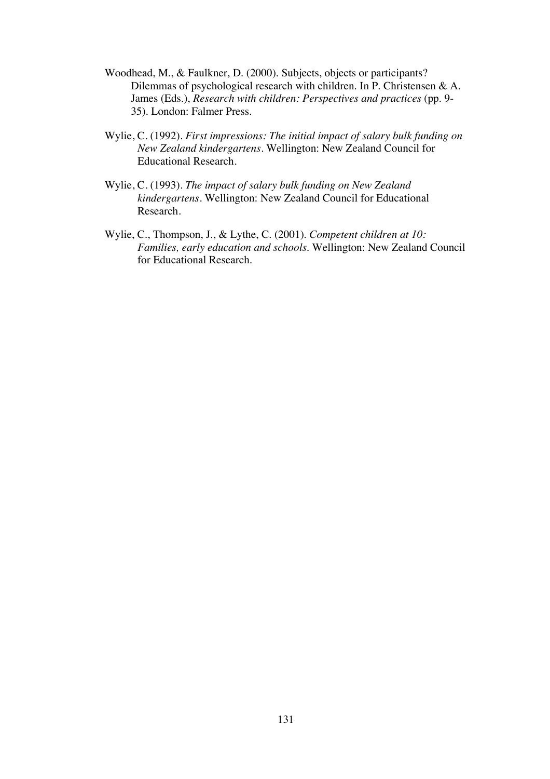- Woodhead, M., & Faulkner, D. (2000). Subjects, objects or participants? Dilemmas of psychological research with children. In P. Christensen & A. James (Eds.), *Research with children: Perspectives and practices* (pp. 9- 35). London: Falmer Press.
- Wylie, C. (1992). *First impressions: The initial impact of salary bulk funding on New Zealand kindergartens*. Wellington: New Zealand Council for Educational Research.
- Wylie, C. (1993). *The impact of salary bulk funding on New Zealand kindergartens*. Wellington: New Zealand Council for Educational Research.
- Wylie, C., Thompson, J., & Lythe, C. (2001)*. Competent children at 10: Families, early education and schools*. Wellington: New Zealand Council for Educational Research.